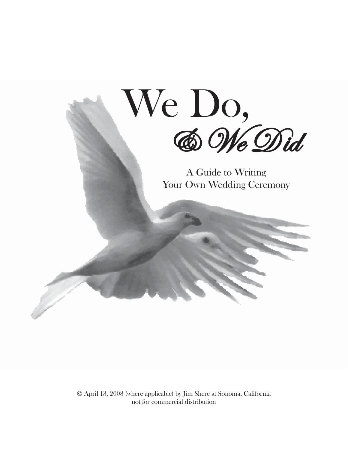

© April 13, 2008 (where applicable) by Jim Shere at Sonoma, California not for commercial distribution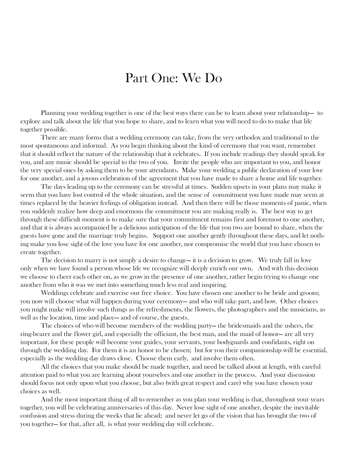# Part One: We Do

 Planning your wedding together is one of the best ways there can be to learn about your relationship— to explore and talk about the life that you hope to share, and to learn what you will need to do to make that life together possible.

 There are many forms that a wedding ceremony can take, from the very orthodox and traditional to the most spontaneous and informal. As you begin thinking about the kind of ceremony that you want, remember that it should reflect the nature of the relationship that it celebrates. If you include readings they should speak for you, and any music should be special to the two of you. Invite the people who are important to you, and honor the very special ones by asking them to be your attendants. Make your wedding a public declaration of your love for one another, and a joyous celebration of the agreement that you have made to share a home and life together.

 The days leading up to the ceremony can be stressful at times. Sudden upsets in your plans may make it seem that you have lost control of the whole situation, and the sense of commitment you have made may seem at times replaced by the heavier feelings of obligation instead. And then there will be those moments of panic, when you suddenly realize how deep and enormous the commitment you are making really is. The best way to get through these difficult moment is to make sure that your commitment remains first and foremost to one another, and that it is always accompanied by a delicious anticipation of the life that you two are bound to share, when the guests have gone and the marriage truly begins. Support one another gently throughout these days, and let nothing make you lose sight of the love you have for one another, nor compromise the world that you have chosen to create together.

 The decision to marry is not simply a desire to change— it is a decision to grow. We truly fall in love only when we have found a person whose life we recognize will deeply enrich our own. And with this decision we choose to cheer each other on, as we grow in the presence of one another, rather begin trying to change one another from who it was we met into something much less real and inspiring.

 Weddings celebrate and exercise our free choice. You have chosen one another to be bride and groom; you now will choose what will happen during your ceremony— and who will take part, and how. Other choices you might make will involve such things as the refreshments, the flowers, the photographers and the musicians, as well as the location, time and place— and of course, the guests.

 The choices of who will become members of the wedding party— the bridesmaids and the ushers, the ring-bearer and the flower girl, and especially the officiant, the best man, and the maid of honor— are all very important, for these people will become your guides, your servants, your bodyguards and confidants, right on through the wedding day. For them it is an honor to be chosen; but for you their companionship will be essential, especially as the wedding day draws close. Choose them early, and involve them often.

 All the choices that you make should be made together, and need be talked about at length, with careful attention paid to what you are learning about yourselves and one another in the process. And your discussion should focus not only upon what you choose, but also (with great respect and care) why you have chosen your choices as well.

 And the most important thing of all to remember as you plan your wedding is that, throughout your years together, you will be celebrating anniversaries of this day. Never lose sight of one another, despite the inevitable confusion and stress during the weeks that lie ahead; and never let go of the vision that has brought the two of you together— for that, after all, is what your wedding day will celebrate.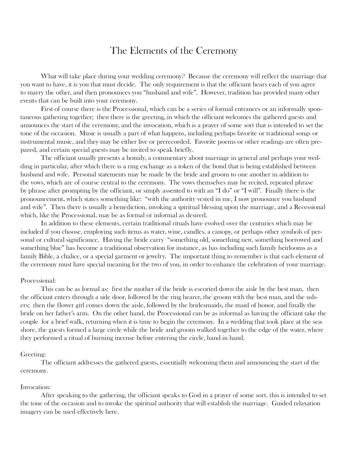## The Elements of the Ceremony

 What will take place during your wedding ceremony? Because the ceremony will reflect the marriage that you want to have, it is you that must decide. The only requirement is that the officiant hears each of you agree to marry the other, and then pronounces you "husband and wife". However, tradition has provided many other events that can be built into your ceremony.

 First of course there is the Processional, which can be a series of formal entrances or an informally spontaneous gathering together; then there is the greeting, in which the officiant welcomes the gathered guests and announces the start of the ceremony, and the invocation, which is a prayer of some sort that is intended to set the tone of the occasion. Music is usually a part of what happens, including perhaps favorite or traditional songs or instrumental music, and they may be either live or prerecorded. Favorite poems or other readings are often prepared, and certain special guests may be invited to speak briefly.

 The officiant usually presents a homily, a commentary about marriage in general and perhaps your wedding in particular, after which there is a ring exchange as a token of the bond that is being established between husband and wife. Personal statements may be made by the bride and groom to one another in addition to the vows, which are of course central to the ceremony. The vows themselves may be recited, repeated phrase by phrase after prompting by the officiant, or simply assented to with an "I do" or "I will". Finally there is the pronouncement, which states something like: "with the authority vested in me, I now pronounce you husband and wife". Then there is usually a benediction, invoking a spiritual blessing upon the marriage, and a Recessional which, like the Processional, may be as formal or informal as desired.

 In addition to these elements, certain traditional rituals have evolved over the centuries which may be included if you choose, employing such items as water, wine, candles, a canopy, or perhaps other symbols of personal or cultural significance. Having the bride carry "something old, something new, something borrowed and something blue" has become a traditional observation for instance, as has including such family heirlooms as a family Bible, a chalice, or a special garment or jewelry. The important thing to remember is that each element of the ceremony must have special meaning for the two of you, in order to enhance the celebration of your marriage.

#### Processional:

 This can be as formal as: first the mother of the bride is escorted down the aisle by the best man, then the officiant enters through a side door, followed by the ring bearer, the groom with the best man, and the ushers; then the flower girl comes down the aisle, followed by the bridesmaids, the maid of honor, and finally the bride on her father's arm. On the other hand, the Processional can be as informal as having the officiant take the couple for a brief walk, returning when it is time to begin the ceremony. In a wedding that took place at the seashore, the guests formed a large circle while the bride and groom walked together to the edge of the water, where they performed a ritual of burning incense before entering the circle, hand in hand.

#### Greeting:

 The officiant addresses the gathered guests, essentially welcoming them and announcing the start of the ceremony.

#### Invocation:

 After speaking to the gathering, the officiant speaks to God in a prayer of some sort. this is intended to set the tone of the occasion and to invoke the spiritual authority that will establish the marriage. Guided relaxation imagery can be used effectively here.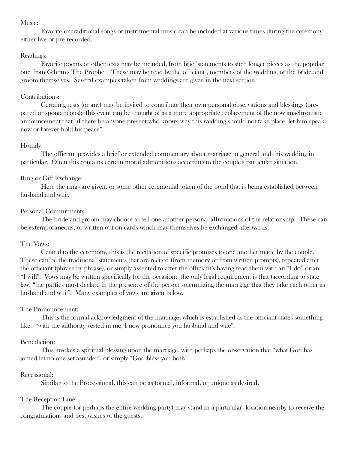#### Music:

 Favorite or traditional songs or instrumental music can be included at various times during the ceremony, either live or pre-recorded.

#### Readings:

 Favorite poems or other texts may be included, from brief statements to such longer pieces as the popular one from Gibran's The Prophet. These may be read by the officiant , members of the wedding, or the bride and groom themselves. Several examples taken from weddings are given in the next section.

#### Contributions:

 Certain guests (or any) may be invited to contribute their own personal observations and blessings (prepared or spontaneous); this event can be thought of as a more appropriate replacement of the now anachronistic announcement that "if there be anyone present who knows why this wedding should not take place, let him speak now or forever hold his peace".

#### Homily:

 The officiant provides a brief or extended commentary about marriage in general and this wedding in particular. Often this contains certain moral admonitions according to the couple's particular situation.

#### Ring or Gift Exchange:

 Here the rings are given, or some other ceremonial token of the bond that is being established between husband and wife.

#### Personal Commitments:

 The bride and groom may choose to tell one another personal affirmations of the relationship. These can be extemporaneous, or written out on cards which may themselves be exchanged afterwards.

#### The Vows:

 Central to the ceremony, this is the recitation of specific promises to one another made by the couple. These can be the traditional statements that are recited (from memory or from written prompts), repeated after the officiant (phrase by phrase), or simply assented to after the officiant's having read them with an "I do" or an "I will". Vows may be written specifically for the occasion; the only legal requirement is that (according to state law) "the parties must declare in the presence of the person solemnizing the marriage that they take each other as husband and wife". Many examples of vows are given below.

## The Pronouncement:

 This is the formal acknowledgment of the marriage, which is established as the officiant states something like: "with the authority vested in me, I now pronounce you husband and wife".

#### Benediction:

 This invokes a spiritual blessing upon the marriage, with perhaps the observation that "what God has joined let no one set asunder", or simply "God bless you both".

#### Recessional:

Similar to the Processional, this can be as formal, informal, or unique as desired.

#### The Reception Line:

 The couple (or perhaps the entire wedding party) may stand in a particular location nearby to receive the congratulations and best wishes of the guests.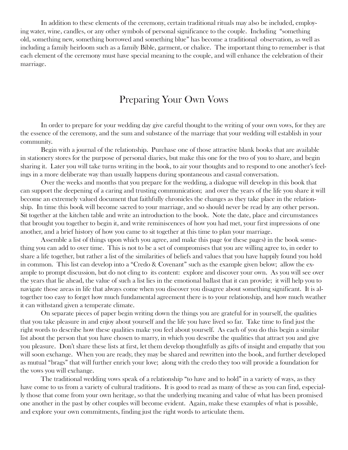In addition to these elements of the ceremony, certain traditional rituals may also be included, employing water, wine, candles, or any other symbols of personal significance to the couple. Including "something old, something new, something borrowed and something blue" has become a traditional observation, as well as including a family heirloom such as a family Bible, garment, or chalice. The important thing to remember is that each element of the ceremony must have special meaning to the couple, and will enhance the celebration of their marriage.

## Preparing Your Own Vows

 In order to prepare for your wedding day give careful thought to the writing of your own vows, for they are the essence of the ceremony, and the sum and substance of the marriage that your wedding will establish in your community.

 Begin with a journal of the relationship. Purchase one of those attractive blank books that are available in stationery stores for the purpose of personal diaries, but make this one for the two of you to share, and begin sharing it. Later you will take turns writing in the book, to air your thoughts and to respond to one another's feelings in a more deliberate way than usually happens during spontaneous and casual conversation.

 Over the weeks and months that you prepare for the wedding, a dialogue will develop in this book that can support the deepening of a caring and trusting communication; and over the years of the life you share it will become an extremely valued document that faithfully chronicles the changes as they take place in the relationship. In time this book will become sacred to your marriage, and so should never be read by any other person. Sit together at the kitchen table and write an introduction to the book. Note the date, place and circumstances that brought you together to begin it, and write reminiscences of how you had met, your first impressions of one another, and a brief history of how you came to sit together at this time to plan your marriage.

 Assemble a list of things upon which you agree, and make this page (or these pages) in the book something you can add to over time. This is not to be a set of compromises that you are willing agree to, in order to share a life together, but rather a list of the similarities of beliefs and values that you have happily found you hold in common. This list can develop into a "Credo & Covenant" such as the example given below; allow the example to prompt discussion, but do not cling to its content: explore and discover your own. As you will see over the years that lie ahead, the value of such a list lies in the emotional ballast that it can provide; it will help you to navigate those areas in life that always come when you discover you disagree about something significant. It is altogether too easy to forget how much fundamental agreement there is to your relationship, and how much weather it can withstand given a temperate climate.

 On separate pieces of paper begin writing down the things you are grateful for in yourself, the qualities that you take pleasure in and enjoy about yourself and the life you have lived so far. Take time to find just the right words to describe how these qualities make you feel about yourself. As each of you do this begin a similar list about the person that you have chosen to marry, in which you describe the qualities that attract you and give you pleasure. Don't share these lists at first, let them develop thoughtfully as gifts of insight and empathy that you will soon exchange. When you are ready, they may be shared and rewritten into the book, and further developed as mutual "brags" that will further enrich your love; along with the credo they too will provide a foundation for the vows you will exchange.

 The traditional wedding vows speak of a relationship "to have and to hold" in a variety of ways, as they have come to us from a variety of cultural traditions. It is good to read as many of these as you can find, especially those that come from your own heritage, so that the underlying meaning and value of what has been promised one another in the past by other couples will become evident. Again, make these examples of what is possible, and explore your own commitments, finding just the right words to articulate them.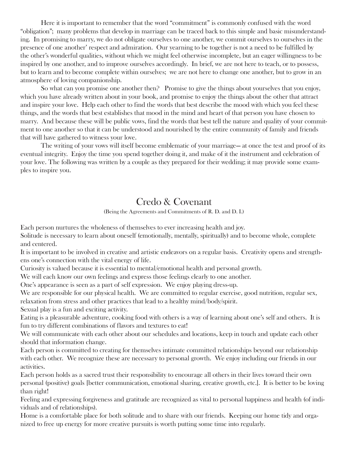Here it is important to remember that the word "commitment" is commonly confused with the word "obligation"; many problems that develop in marriage can be traced back to this simple and basic misunderstanding. In promising to marry, we do not obligate ourselves to one another, we commit ourselves to ourselves in the presence of one another' respect and admiration. Our yearning to be together is not a need to be fulfilled by the other's wonderful qualities, without which we might feel otherwise incomplete, but an eager willingness to be inspired by one another, and to improve ourselves accordingly. In brief, we are not here to teach, or to possess, but to learn and to become complete within ourselves; we are not here to change one another, but to grow in an atmosphere of loving companionship.

 So what can you promise one another then? Promise to give the things about yourselves that you enjoy, which you have already written about in your book, and promise to enjoy the things about the other that attract and inspire your love. Help each other to find the words that best describe the mood with which you feel these things, and the words that best establishes that mood in the mind and heart of that person you have chosen to marry. And because these will be public vows, find the words that best tell the nature and quality of your commitment to one another so that it can be understood and nourished by the entire community of family and friends that will have gathered to witness your love.

 The writing of your vows will itself become emblematic of your marriage— at once the test and proof of its eventual integrity. Enjoy the time you spend together doing it, and make of it the instrument and celebration of your love. The following was written by a couple as they prepared for their wedding; it may provide some examples to inspire you.

## Credo & Covenant

(Being the Agreements and Commitments of R. D. and D. I.)

Each person nurtures the wholeness of themselves to ever increasing health and joy.

Solitude is necessary to learn about oneself (emotionally, mentally, spiritually) and to become whole, complete and centered.

It is important to be involved in creative and artistic endeavors on a regular basis. Creativity opens and strengthens one's connection with the vital energy of life.

Curiosity is valued because it is essential to mental/emotional health and personal growth.

We will each know our own feelings and express those feelings clearly to one another.

One's appearance is seen as a part of self expression. We enjoy playing dress-up.

We are responsible for our physical health. We are committed to regular exercise, good nutrition, regular sex, relaxation from stress and other practices that lead to a healthy mind/body/spirit.

Sexual play is a fun and exciting activity.

Eating is a pleasurable adventure, cooking food with others is a way of learning about one's self and others. It is fun to try different combinations of flavors and textures to eat!

We will communicate with each other about our schedules and locations, keep in touch and update each other should that information change.

Each person is committed to creating for themselves intimate committed relationships beyond our relationship with each other. We recognize these are necessary to personal growth. We enjoy including our friends in our activities.

Each person holds as a sacred trust their responsibility to encourage all others in their lives toward their own personal (positive) goals [better communication, emotional sharing, creative growth, etc.]. It is better to be loving than right!

Feeling and expressing forgiveness and gratitude are recognized as vital to personal happiness and health (of individuals and of relationships).

Home is a comfortable place for both solitude and to share with our friends. Keeping our home tidy and organized to free up energy for more creative pursuits is worth putting some time into regularly.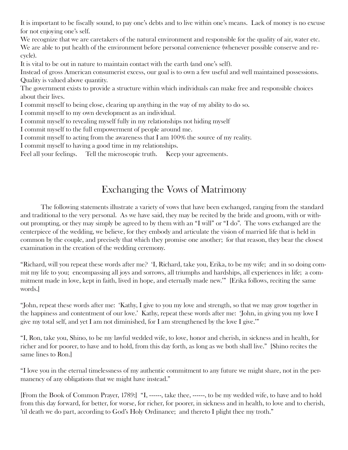It is important to be fiscally sound, to pay one's debts and to live within one's means. Lack of money is no excuse for not enjoying one's self.

We recognize that we are caretakers of the natural environment and responsible for the quality of air, water etc. We are able to put health of the environment before personal convenience (whenever possible conserve and recycle).

It is vital to be out in nature to maintain contact with the earth (and one's self).

Instead of gross American consumerist excess, our goal is to own a few useful and well maintained possessions. Quality is valued above quantity.

The government exists to provide a structure within which individuals can make free and responsible choices about their lives.

I commit myself to being close, clearing up anything in the way of my ability to do so.

I commit myself to my own development as an individual.

I commit myself to revealing myself fully in my relationships not hiding myself

I commit myself to the full empowerment of people around me.

I commit myself to acting from the awareness that I am 100% the source of my reality.

I commit myself to having a good time in my relationships.

Feel all your feelings. Tell the microscopic truth. Keep your agreements.

## Exchanging the Vows of Matrimony

 The following statements illustrate a variety of vows that have been exchanged, ranging from the standard and traditional to the very personal. As we have said, they may be recited by the bride and groom, with or without prompting, or they may simply be agreed to by them with an "I will" or "I do". The vows exchanged are the centerpiece of the wedding, we believe, for they embody and articulate the vision of married life that is held in common by the couple, and precisely that which they promise one another; for that reason, they bear the closest examination in the creation of the wedding ceremony.

"Richard, will you repeat these words after me? 'I, Richard, take you, Erika, to be my wife; and in so doing commit my life to you; encompassing all joys and sorrows, all triumphs and hardships, all experiences in life; a commitment made in love, kept in faith, lived in hope, and eternally made new.'" [Erika follows, reciting the same words.]

"John, repeat these words after me: 'Kathy, I give to you my love and strength, so that we may grow together in the happiness and contentment of our love.' Kathy, repeat these words after me: 'John, in giving you my love I give my total self, and yet I am not diminished, for I am strengthened by the love I give.'"

"I, Ron, take you, Shino, to be my lawful wedded wife, to love, honor and cherish, in sickness and in health, for richer and for poorer, to have and to hold, from this day forth, as long as we both shall live." [Shino recites the same lines to Ron.]

"I love you in the eternal timelessness of my authentic commitment to any future we might share, not in the permanency of any obligations that we might have instead."

[From the Book of Common Prayer, 1789:] "I, ------, take thee, ------, to be my wedded wife, to have and to hold from this day forward, for better, for worse, for richer, for poorer, in sickness and in health, to love and to cherish, 'til death we do part, according to God's Holy Ordinance; and thereto I plight thee my troth."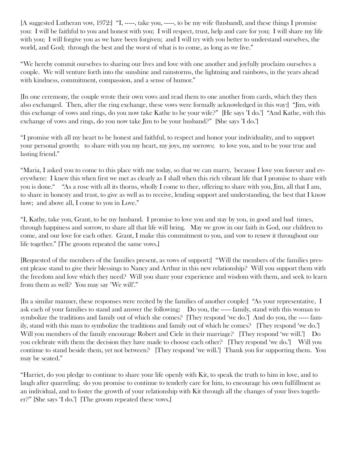[A suggested Lutheran vow, 1972:] "I, -----, take you, -----, to be my wife (husband), and these things I promise you: I will be faithful to you and honest with you; I will respect, trust, help and care for you; I will share my life with you; I will forgive you as we have been forgiven; and I will try with you better to understand ourselves, the world, and God; through the best and the worst of what is to come, as long as we live."

"We hereby commit ourselves to sharing our lives and love with one another and joyfully proclaim ourselves a couple. We will venture forth into the sunshine and rainstorms, the lightning and rainbows, in the years ahead with kindness, commitment, compassion, and a sense of humor."

[In one ceremony, the couple wrote their own vows and read them to one another from cards, which they then also exchanged. Then, after the ring exchange, these vows were formally acknowledged in this way:] "Jim, with this exchange of vows and rings, do you now take Kathe to be your wife?" [He says 'I do.'] "And Kathe, with this exchange of vows and rings, do you now take Jim to be your husband?" [She says 'I do.']

"I promise with all my heart to be honest and faithful, to respect and honor your individuality, and to support your personal growth; to share with you my heart, my joys, my sorrows; to love you, and to be your true and lasting friend."

"Maria, I asked you to come to this place with me today, so that we can marry, because I love you forever and everywhere: I knew this when first we met as clearly as I shall when this rich vibrant life that I promise to share with you is done." "As a rose with all its thorns, wholly I come to thee, offering to share with you, Jim, all that I am, to share in honesty and trust, to give as well as to receive, lending support and understanding, the best that I know how; and above all, I come to you in Love."

"I, Kathy, take you, Grant, to be my husband. I promise to love you and stay by you, in good and bad times, through happiness and sorrow, to share all that life will bring. May we grow in our faith in God, our children to come, and our love for each other. Grant, I make this commitment to you, and vow to renew it throughout our life together." [The groom repeated the same vows.]

[Requested of the members of the families present, as vows of support:] "Will the members of the families present please stand to give their blessings to Nancy and Arthur in this new relationship? Will you support them with the freedom and love which they need? Will you share your experience and wisdom with them, and seek to learn from them as well? You may say 'We will'."

[In a similar manner, these responses were recited by the families of another couple:] "As your representative, I ask each of your families to stand and answer the following: Do you, the ----- family, stand with this woman to symbolize the traditions and family out of which she comes? [They respond 'we do.'] And do you, the ----- family, stand with this man to symbolize the traditions and family out of which he comes? [They respond 'we do.'] Will you members of the family encourage Robert and Ciele in their marriage? [They respond 'we will.'] Do you celebrate with them the decision they have made to choose each other? [They respond 'we do.'] Will you continue to stand beside them, yet not between? [They respond 'we will.'] Thank you for supporting them. You may be seated."

"Harriet, do you pledge to continue to share your life openly with Kit, to speak the truth to him in love, and to laugh after quarreling; do you promise to continue to tenderly care for him, to encourage his own fulfillment as an individual, and to foster the growth of your relationship with Kit through all the changes of your lives together?" [She says 'I do.'] [The groom repeated these vows.]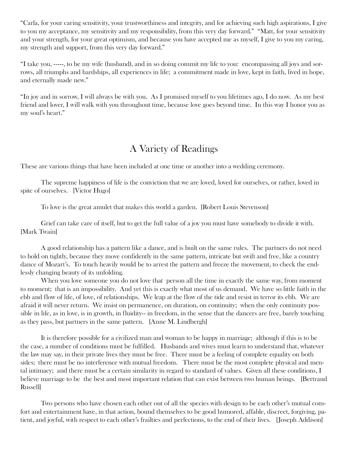"Carla, for your caring sensitivity, your trustworthiness and integrity, and for achieving such high aspirations, I give to you my acceptance, my sensitivity and my responsibility, from this very day forward." "Matt, for your sensitivity and your strength, for your great optimism, and because you have accepted me as myself, I give to you my caring, my strength and support, from this very day forward."

"I take you, -----, to be my wife (husband), and in so doing commit my life to you: encompassing all joys and sorrows, all triumphs and hardships, all experiences in life; a commitment made in love, kept in faith, lived in hope, and eternally made new."

"In joy and in sorrow, I will always be with you. As I promised myself to you lifetimes ago, I do now. As my best friend and lover, I will walk with you throughout time, because love goes beyond time. In this way I honor you as my soul's heart."

## A Variety of Readings

These are various things that have been included at one time or another into a wedding ceremony.

 The supreme happiness of life is the conviction that we are loved, loved for ourselves, or rather, loved in spite of ourselves. [Victor Hugo]

To love is the great amulet that makes this world a garden. [Robert Louis Stevenson]

 Grief can take care of itself, but to get the full value of a joy you must have somebody to divide it with. [Mark Twain]

 A good relationship has a pattern like a dance, and is built on the same rules. The partners do not need to hold on tightly, because they move confidently in the same pattern, intricate but swift and free, like a country dance of Mozart's. To touch heavily would be to arrest the pattern and freeze the movement, to check the endlessly changing beauty of its unfolding.

When you love someone you do not love that person all the time in exactly the same way, from moment to moment; that is an impossibility. And yet this is exactly what most of us demand. We have so little faith in the ebb and flow of life, of love, of relationships. We leap at the flow of the tide and resist in terror its ebb. We are afraid it will never return. We insist on permanence, on duration, on continuity; when the only continuity possible in life, as in love, is in growth, in fluidity-- in freedom, in the sense that the dancers are free, barely touching as they pass, but partners in the same pattern. [Anne M. Lindbergh]

 It is therefore possible for a civilized man and woman to be happy in marriage; although if this is to be the case, a number of conditions must be fulfilled. Husbands and wives must learn to understand that, whatever the law may say, in their private lives they must be free. There must be a feeling of complete equality on both sides; there must be no interference with mutual freedom. There must be the most complete physical and mental intimacy; and there must be a certain similarity in regard to standard of values. Given all these conditions, I believe marriage to be the best and most important relation that can exist between two human beings. [Bertrand Russell]

 Two persons who have chosen each other out of all the species with design to be each other's mutual comfort and entertainment have, in that action, bound themselves to be good humored, affable, discreet, forgiving, patient, and joyful, with respect to each other's frailties and perfections, to the end of their lives. [Joseph Addison]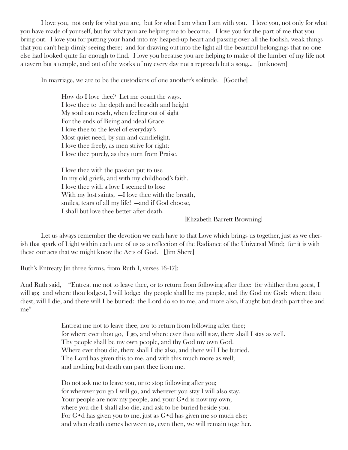I love you, not only for what you are, but for what I am when I am with you. I love you, not only for what you have made of yourself, but for what you are helping me to become. I love you for the part of me that you bring out. I love you for putting your hand into my heaped-up heart and passing over all the foolish, weak things that you can't help dimly seeing there; and for drawing out into the light all the beautiful belongings that no one else had looked quite far enough to find. I love you because you are helping to make of the lumber of my life not a tavern but a temple, and out of the works of my every day not a reproach but a song... [unknown]

In marriage, we are to be the custodians of one another's solitude. [Goethe]

How do I love thee? Let me count the ways. I love thee to the depth and breadth and height My soul can reach, when feeling out of sight For the ends of Being and ideal Grace. I love thee to the level of everyday's Most quiet need, by sun and candlelight. I love thee freely, as men strive for right; I love thee purely, as they turn from Praise.

I love thee with the passion put to use In my old griefs, and with my childhood's faith. I love thee with a love I seemed to lose With my lost saints,  $-I$  love thee with the breath, smiles, tears of all my life! —and if God choose, I shall but love thee better after death.

[Elizabeth Barrett Browning]

Let us always remember the devotion we each have to that Love which brings us together, just as we cherish that spark of Light within each one of us as a reflection of the Radiance of the Universal Mind; for it is with these our acts that we might know the Acts of God. [Jim Shere]

Ruth's Entreaty [in three forms, from Ruth I, verses 16-17]:

And Ruth said, "Entreat me not to leave thee, or to return from following after thee: for whither thou goest, I will go; and where thou lodgest, I will lodge: thy people shall be my people, and thy God my God: where thou diest, will I die, and there will I be buried: the Lord do so to me, and more also, if aught but death part thee and me"

> Entreat me not to leave thee, nor to return from following after thee; for where ever thou go, I go, and where ever thou will stay, there shall I stay as well. Thy people shall be my own people, and thy God my own God. Where ever thou die, there shall I die also, and there will I be buried. The Lord has given this to me, and with this much more as well; and nothing but death can part thee from me.

Do not ask me to leave you, or to stop following after you; for wherever you go I will go, and wherever you stay I will also stay. Your people are now my people, and your  $G \cdot d$  is now my own; where you die I shall also die, and ask to be buried beside you. For  $G \cdot d$  has given you to me, just as  $G \cdot d$  has given me so much else; and when death comes between us, even then, we will remain together.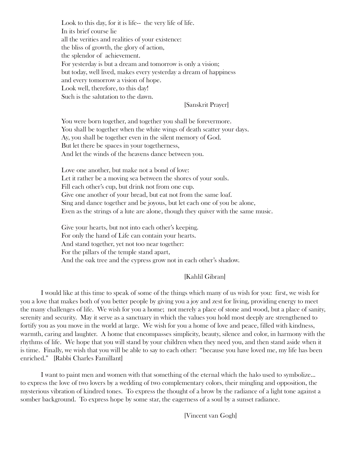Look to this day, for it is life-- the very life of life. In its brief course lie all the verities and realities of your existence: the bliss of growth, the glory of action, the splendor of achievement. For yesterday is but a dream and tomorrow is only a vision; but today, well lived, makes every yesterday a dream of happiness and every tomorrow a vision of hope. Look well, therefore, to this day! Such is the salutation to the dawn.

#### [Sanskrit Prayer]

You were born together, and together you shall be forevermore. You shall be together when the white wings of death scatter your days. Ay, you shall be together even in the silent memory of God. But let there be spaces in your togetherness, And let the winds of the heavens dance between you.

Love one another, but make not a bond of love: Let it rather be a moving sea between the shores of your souls. Fill each other's cup, but drink not from one cup. Give one another of your bread, but eat not from the same loaf. Sing and dance together and be joyous, but let each one of you be alone, Even as the strings of a lute are alone, though they quiver with the same music.

Give your hearts, but not into each other's keeping. For only the hand of Life can contain your hearts. And stand together, yet not too near together: For the pillars of the temple stand apart, And the oak tree and the cypress grow not in each other's shadow.

#### [Kahlil Gibran]

 I would like at this time to speak of some of the things which many of us wish for you: first, we wish for you a love that makes both of you better people by giving you a joy and zest for living, providing energy to meet the many challenges of life. We wish for you a home; not merely a place of stone and wood, but a place of sanity, serenity and security. May it serve as a sanctuary in which the values you hold most deeply are strengthened to fortify you as you move in the world at large. We wish for you a home of love and peace, filled with kindness, warmth, caring and laughter. A home that encompasses simplicity, beauty, silence and color, in harmony with the rhythms of life. We hope that you will stand by your children when they need you, and then stand aside when it is time. Finally, we wish that you will be able to say to each other: "because you have loved me, my life has been enriched." [Rabbi Charles Famillant]

 I want to paint men and women with that something of the eternal which the halo used to symbolize... to express the love of two lovers by a wedding of two complementary colors, their mingling and opposition, the mysterious vibration of kindred tones. To express the thought of a brow by the radiance of a light tone against a somber background. To express hope by some star, the eagerness of a soul by a sunset radiance.

[Vincent van Gogh]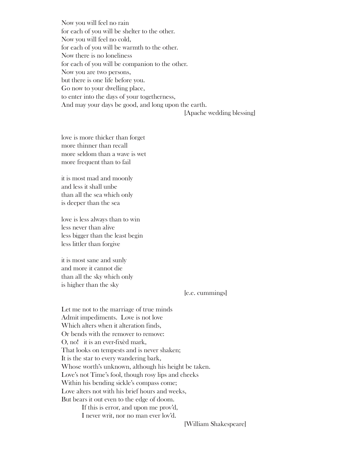Now you will feel no rain for each of you will be shelter to the other. Now you will feel no cold, for each of you will be warmth to the other. Now there is no loneliness for each of you will be companion to the other. Now you are two persons, but there is one life before you. Go now to your dwelling place, to enter into the days of your togetherness, And may your days be good, and long upon the earth.

[Apache wedding blessing]

love is more thicker than forget more thinner than recall more seldom than a wave is wet more frequent than to fail

it is most mad and moonly and less it shall unbe than all the sea which only is deeper than the sea

love is less always than to win less never than alive less bigger than the least begin less littler than forgive

it is most sane and sunly and more it cannot die than all the sky which only is higher than the sky

#### [e.e. cummings]

Let me not to the marriage of true minds Admit impediments. Love is not love Which alters when it alteration finds, Or bends with the remover to remove: O, no! it is an ever-fixèd mark, That looks on tempests and is never shaken; It is the star to every wandering bark, Whose worth's unknown, although his height be taken. Love's not Time's fool, though rosy lips and cheeks Within his bending sickle's compass come; Love alters not with his brief hours and weeks, But bears it out even to the edge of doom.

> If this is error, and upon me prov'd, I never writ, nor no man ever lov'd.

> > [William Shakespeare]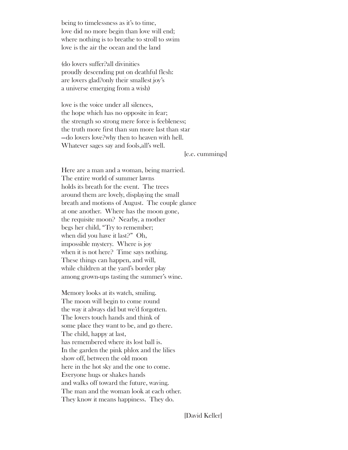being to timelessness as it's to time, love did no more begin than love will end; where nothing is to breathe to stroll to swim love is the air the ocean and the land

(do lovers suffer?all divinities proudly descending put on deathful flesh: are lovers glad?only their smallest joy's a universe emerging from a wish)

love is the voice under all silences, the hope which has no opposite in fear; the strength so strong mere force is feebleness; the truth more first than sun more last than star —do lovers love?why then to heaven with hell. Whatever sages say and fools,all's well.

[e.e. cummings]

Here are a man and a woman, being married. The entire world of summer lawns holds its breath for the event. The trees around them are lovely, displaying the small breath and motions of August. The couple glance at one another. Where has the moon gone, the requisite moon? Nearby, a mother begs her child, "Try to remember; when did you have it last?" Oh, impossible mystery. Where is joy when it is not here? Time says nothing. These things can happen, and will, while children at the yard's border play among grown-ups tasting the summer's wine.

Memory looks at its watch, smiling. The moon will begin to come round the way it always did but we'd forgotten. The lovers touch hands and think of some place they want to be, and go there. The child, happy at last, has remembered where its lost ball is. In the garden the pink phlox and the lilies show off, between the old moon here in the hot sky and the one to come. Everyone hugs or shakes hands and walks off toward the future, waving. The man and the woman look at each other. They know it means happiness. They do.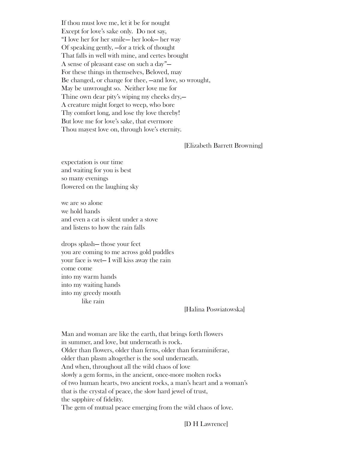If thou must love me, let it be for nought Except for love's sake only. Do not say, "I love her for her smile— her look— her way Of speaking gently, —for a trick of thought That falls in well with mine, and certes brought A sense of pleasant ease on such a day"— For these things in themselves, Beloved, may Be changed, or change for thee, —and love, so wrought, May be unwrought so. Neither love me for Thine own dear pity's wiping my cheeks dry,— A creature might forget to weep, who bore Thy comfort long, and lose thy love thereby! But love me for love's sake, that evermore Thou mayest love on, through love's eternity.

#### [Elizabeth Barrett Browning]

expectation is our time and waiting for you is best so many evenings flowered on the laughing sky

we are so alone we hold hands and even a cat is silent under a stove and listens to how the rain falls

drops splash— those your feet you are coming to me across gold puddles your face is wet— I will kiss away the rain come come into my warm hands into my waiting hands into my greedy mouth like rain

[Halina Poswiatowska]

Man and woman are like the earth, that brings forth flowers in summer, and love, but underneath is rock. Older than flowers, older than ferns, older than foraminiferae, older than plasm altogether is the soul underneath. And when, throughout all the wild chaos of love slowly a gem forms, in the ancient, once-more molten rocks of two human hearts, two ancient rocks, a man's heart and a woman's that is the crystal of peace, the slow hard jewel of trust, the sapphire of fidelity. The gem of mutual peace emerging from the wild chaos of love.

[D H Lawrence]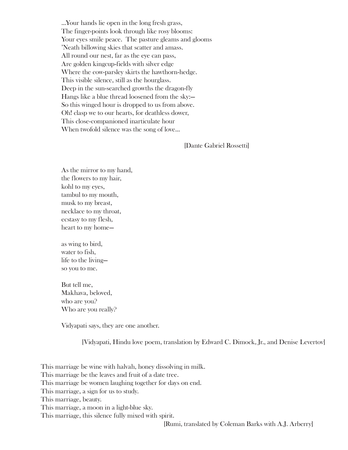...Your hands lie open in the long fresh grass, The finger-points look through like rosy blooms: Your eyes smile peace. The pasture gleams and glooms 'Neath billowing skies that scatter and amass. All round our nest, far as the eye can pass, Are golden kingcup-fields with silver edge Where the cow-parsley skirts the hawthorn-hedge. This visible silence, still as the hourglass. Deep in the sun-searched growths the dragon-fly Hangs like a blue thread loosened from the sky:— So this winged hour is dropped to us from above. Oh! clasp we to our hearts, for deathless dower, This close-companioned inarticulate hour When twofold silence was the song of love...

[Dante Gabriel Rossetti]

As the mirror to my hand, the flowers to my hair, kohl to my eyes, tambul to my mouth, musk to my breast, necklace to my throat, ecstasy to my flesh, heart to my home—

as wing to bird, water to fish, life to the living so you to me.

But tell me, Makhava, beloved, who are you? Who are you really?

Vidyapati says, they are one another.

[Vidyapati, Hindu love poem, translation by Edward C. Dimock, Jr., and Denise Levertov]

 This marriage be wine with halvah, honey dissolving in milk. This marriage be the leaves and fruit of a date tree. This marriage be women laughing together for days on end. This marriage, a sign for us to study. This marriage, beauty. This marriage, a moon in a light-blue sky. This marriage, this silence fully mixed with spirit.

[Rumi, translated by Coleman Barks with A.J. Arberry]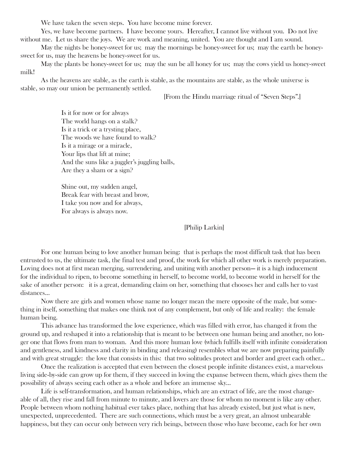We have taken the seven steps. You have become mine forever.

 Yes, we have become partners. I have become yours. Hereafter, I cannot live without you. Do not live without me. Let us share the joys. We are work and meaning, united. You are thought and I am sound.

May the nights be honey-sweet for us; may the mornings be honey-sweet for us; may the earth be honeysweet for us, may the heavens be honey-sweet for us.

May the plants be honey-sweet for us; may the sun be all honey for us; may the cows yield us honey-sweet milk!

 As the heavens are stable, as the earth is stable, as the mountains are stable, as the whole universe is stable, so may our union be permanently settled.

[From the Hindu marriage ritual of "Seven Steps".]

Is it for now or for always The world hangs on a stalk? Is it a trick or a trysting place, The woods we have found to walk? Is it a mirage or a miracle, Your lips that lift at mine; And the suns like a juggler's juggling balls, Are they a sham or a sign?

Shine out, my sudden angel, Break fear with breast and brow, I take you now and for always, For always is always now.

[Philip Larkin]

 For one human being to love another human being: that is perhaps the most difficult task that has been entrusted to us, the ultimate task, the final test and proof, the work for which all other work is merely preparation. Loving does not at first mean merging, surrendering, and uniting with another person— it is a high inducement for the individual to ripen, to become something in herself, to become world, to become world in herself for the sake of another person: it is a great, demanding claim on her, something that chooses her and calls her to vast distances...

 Now there are girls and women whose name no longer mean the mere opposite of the male, but something in itself, something that makes one think not of any complement, but only of life and reality: the female human being.

 This advance has transformed the love experience, which was filled with error, has changed it from the ground up, and reshaped it into a relationship that is meant to be between one human being and another, no longer one that flows from man to woman. And this more human love (which fulfills itself with infinite consideration and gentleness, and kindness and clarity in binding and releasing) resembles what we are now preparing painfully and with great struggle: the love that consists in this: that two solitudes protect and border and greet each other...

 Once the realization is accepted that even between the closest people infinite distances exist, a marvelous living side-by-side can grow up for them, if they succeed in loving the expanse between them, which gives them the possibility of always seeing each other as a whole and before an immense sky...

 Life is self-transformation, and human relationships, which are an extract of life, are the most changeable of all, they rise and fall from minute to minute, and lovers are those for whom no moment is like any other. People between whom nothing habitual ever takes place, nothing that has already existed, but just what is new, unexpected, unprecedented. There are such connections, which must be a very great, an almost unbearable happiness, but they can occur only between very rich beings, between those who have become, each for her own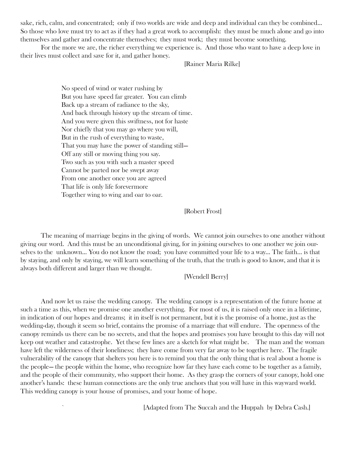sake, rich, calm, and concentrated; only if two worlds are wide and deep and individual can they be combined... So those who love must try to act as if they had a great work to accomplish: they must be much alone and go into themselves and gather and concentrate themselves; they must work; they must become something.

 For the more we are, the richer everything we experience is. And those who want to have a deep love in their lives must collect and save for it, and gather honey.

[Rainer Maria Rilke]

No speed of wind or water rushing by But you have speed far greater. You can climb Back up a stream of radiance to the sky, And back through history up the stream of time. And you were given this swiftness, not for haste Nor chiefly that you may go where you will, But in the rush of everything to waste, That you may have the power of standing still— Off any still or moving thing you say. Two such as you with such a master speed Cannot be parted nor be swept away From one another once you are agreed That life is only life forevermore Together wing to wing and oar to oar.

#### [Robert Frost]

 The meaning of marriage begins in the giving of words. We cannot join ourselves to one another without giving our word. And this must be an unconditional giving, for in joining ourselves to one another we join ourselves to the unknown... You do not know the road; you have committed your life to a way... The faith... is that by staying, and only by staying, we will learn something of the truth, that the truth is good to know, and that it is always both different and larger than we thought.

#### [Wendell Berry]

 And now let us raise the wedding canopy. The wedding canopy is a representation of the future home at such a time as this, when we promise one another everything. For most of us, it is raised only once in a lifetime, in indication of our hopes and dreams; it in itself is not permanent, but it is the promise of a home, just as the wedding-day, though it seem so brief, contains the promise of a marriage that will endure. The openness of the canopy reminds us there can be no secrets, and that the hopes and promises you have brought to this day will not keep out weather and catastrophe. Yet these few lines are a sketch for what might be. The man and the woman have left the wilderness of their loneliness; they have come from very far away to be together here. The fragile vulnerability of the canopy that shelters you here is to remind you that the only thing that is real about a home is the people— the people within the home, who recognize how far they have each come to be together as a family, and the people of their community, who support their home. As they grasp the corners of your canopy, hold one another's hands: these human connections are the only true anchors that you will have in this wayward world. This wedding canopy is your house of promises, and your home of hope.

[Adapted from The Succah and the Huppah by Debra Cash.]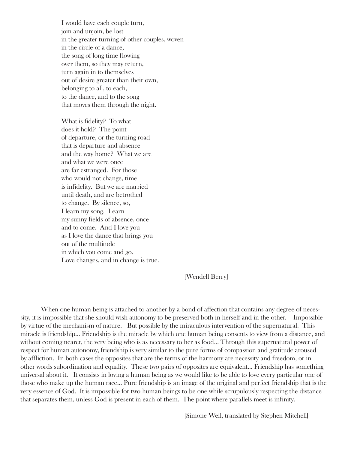I would have each couple turn, join and unjoin, be lost in the greater turning of other couples, woven in the circle of a dance, the song of long time flowing over them, so they may return, turn again in to themselves out of desire greater than their own, belonging to all, to each, to the dance, and to the song that moves them through the night.

What is fidelity? To what does it hold? The point of departure, or the turning road that is departure and absence and the way home? What we are and what we were once are far estranged. For those who would not change, time is infidelity. But we are married until death, and are betrothed to change. By silence, so, I learn my song. I earn my sunny fields of absence, once and to come. And I love you as I love the dance that brings you out of the multitude in which you come and go. Love changes, and in change is true.

[Wendell Berry]

 When one human being is attached to another by a bond of affection that contains any degree of necessity, it is impossible that she should wish autonomy to be preserved both in herself and in the other. Impossible by virtue of the mechanism of nature. But possible by the miraculous intervention of the supernatural. This miracle is friendship... Friendship is the miracle by which one human being consents to view from a distance, and without coming nearer, the very being who is as necessary to her as food... Through this supernatural power of respect for human autonomy, friendship is very similar to the pure forms of compassion and gratitude aroused by affliction. In both cases the opposites that are the terms of the harmony are necessity and freedom, or in other words subordination and equality. These two pairs of opposites are equivalent... Friendship has something universal about it. It consists in loving a human being as we would like to be able to love every particular one of those who make up the human race... Pure friendship is an image of the original and perfect friendship that is the very essence of God. It is impossible for two human beings to be one while scrupulously respecting the distance that separates them, unless God is present in each of them. The point where parallels meet is infinity.

[Simone Weil, translated by Stephen Mitchell]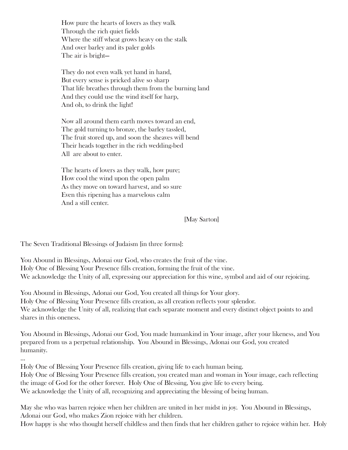How pure the hearts of lovers as they walk Through the rich quiet fields Where the stiff wheat grows heavy on the stalk And over barley and its paler golds The air is bright—

They do not even walk yet hand in hand, But every sense is pricked alive so sharp That life breathes through them from the burning land And they could use the wind itself for harp, And oh, to drink the light!

Now all around them earth moves toward an end, The gold turning to bronze, the barley tassled, The fruit stored up, and soon the sheaves will bend Their heads together in the rich wedding-bed All are about to enter.

The hearts of lovers as they walk, how pure; How cool the wind upon the open palm As they move on toward harvest, and so sure Even this ripening has a marvelous calm And a still center.

#### [May Sarton]

The Seven Traditional Blessings of Judaism [in three forms]:

You Abound in Blessings, Adonai our God, who creates the fruit of the vine. Holy One of Blessing Your Presence fills creation, forming the fruit of the vine. We acknowledge the Unity of all, expressing our appreciation for this wine, symbol and aid of our rejoicing.

You Abound in Blessings, Adonai our God, You created all things for Your glory. Holy One of Blessing Your Presence fills creation, as all creation reflects your splendor. We acknowledge the Unity of all, realizing that each separate moment and every distinct object points to and shares in this oneness.

You Abound in Blessings, Adonai our God, You made humankind in Your image, after your likeness, and You prepared from us a perpetual relationship. You Abound in Blessings, Adonai our God, you created humanity.

... Holy One of Blessing Your Presence fills creation, giving life to each human being. Holy One of Blessing Your Presence fills creation, you created man and woman in Your image, each reflecting the image of God for the other forever. Holy One of Blessing, You give life to every being. We acknowledge the Unity of all, recognizing and appreciating the blessing of being human.

May she who was barren rejoice when her children are united in her midst in joy. You Abound in Blessings, Adonai our God, who makes Zion rejoice with her children.

How happy is she who thought herself childless and then finds that her children gather to rejoice within her. Holy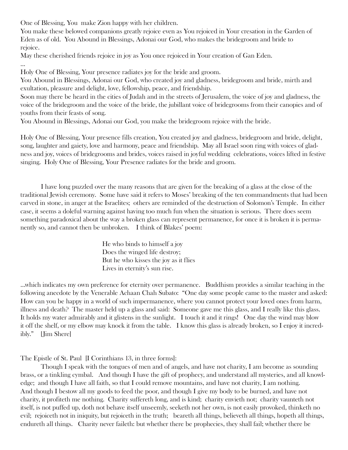One of Blessing, You make Zion happy with her children.

...

You make these belowed companions greatly rejoice even as You rejoiced in Your cresation in the Garden of Eden as of old. You Abound in Blessings, Adonai our God, who makes the bridegroom and bride to rejoice.

May these cherished friends rejoice in joy as You once rejoiced in Your creation of Gan Eden.

Holy One of Blessing, Your presence radiates joy for the bride and groom.

You Abound in Blessings, Adonai our God, who created joy and gladness, bridegroom and bride, mirth and exultation, pleasure and delight, love, fellowship, peace, and friendship.

Soon may there be heard in the cities of Judah and in the streets of Jerusalem, the voice of joy and gladness, the voice of the bridegroom and the voice of the bride, the jubillant voice of bridegrooms from their canopies and of youths from their feasts of song.

You Abound in Blessings, Adonai our God, you make the bridegroom rejoice with the bride.

Holy One of Blessing, Your presence fills creation, You created joy and gladness, bridegroom and bride, delight, song, laughter and gaiety, love and harmony, peace and friendship. May all Israel soon ring with voices of gladness and joy, voices of bridegrooms and brides, voices raised in joyful wedding celebrations, voices lifted in festive singing. Holy One of Blessing, Your Presence radiates for the bride and groom.

 I have long puzzled over the many reasons that are given for the breaking of a glass at the close of the traditional Jewish ceremony. Some have said it refers to Moses' breaking of the ten commandments that had been carved in stone, in anger at the Israelites; others are reminded of the destruction of Solomon's Temple. In either case, it seems a doleful warning against having too much fun when the situation is serious. There does seem something paradoxical about the way a broken glass can represent permanence, for once it is broken it is permanently so, and cannot then be unbroken. I think of Blakes' poem:

> He who binds to himself a joy Does the winged life destroy; But he who kisses the joy as it flies Lives in eternity's sun rise.

...which indicates my own preference for eternity over permanence. Buddhism provides a similar teaching in the following anecdote by the Venerable Achaan Chah Subato: "One day some people came to the master and asked: How can you be happy in a world of such impermanence, where you cannot protect your loved ones from harm, illness and death? The master held up a glass and said: Someone gave me this glass, and I really like this glass. It holds my water admirably and it glistens in the sunlight. I touch it and it rings! One day the wind may blow it off the shelf, or my elbow may knock it from the table. I know this glass is already broken, so I enjoy it incredibly." [Jim Shere]

The Epistle of St. Paul [I Corinthians 13, in three forms]:

 Though I speak with the tongues of men and of angels, and have not charity, I am become as sounding brass, or a tinkling cymbal. And though I have the gift of prophecy, and understand all mysteries, and all knowledge; and though I have all faith, so that I could remove mountains, and have not charity, I am nothing. And though I bestow all my goods to feed the poor, and though I give my body to be burned, and have not charity, it profiteth me nothing. Charity suffereth long, and is kind; charity envieth not; charity vaunteth not itself, is not puffed up, doth not behave itself unseemly, seeketh not her own, is not easily provoked, thinketh no evil; rejoiceth not in iniquity, but rejoiceth in the truth; beareth all things, believeth all things, hopeth all things, endureth all things. Charity never faileth: but whether there be prophecies, they shall fail; whether there be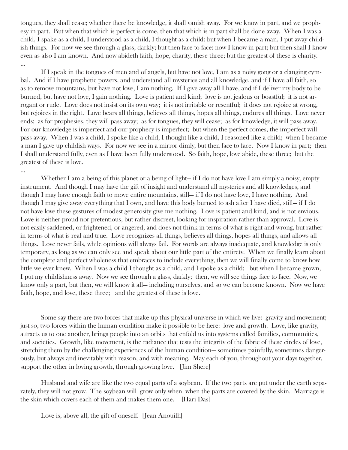tongues, they shall cease; whether there be knowledge, it shall vanish away. For we know in part, and we prophesy in part. But when that which is perfect is come, then that which is in part shall be done away. When I was a child, I spake as a child, I understood as a child, I thought as a child: but when I became a man, I put away childish things. For now we see through a glass, darkly; but then face to face: now I know in part; but then shall I know even as also I am known. And now abideth faith, hope, charity, these three; but the greatest of these is charity.

 If I speak in the tongues of men and of angels, but have not love, I am as a noisy gong or a clanging cymbal. And if I have prophetic powers, and understand all mysteries and all knowledge, and if I have all faith, so as to remove mountains, but have not love, I am nothing. If I give away all I have, and if I deliver my body to be burned, but have not love, I gain nothing. Love is patient and kind; love is not jealous or boastful; it is not arrogant or rude. Love does not insist on its own way; it is not irritable or resentful; it does not rejoice at wrong, but rejoices in the right. Love bears all things, believes all things, hopes all things, endures all things. Love never ends; as for prophesies, they will pass away; as for tongues, they will cease; as for knowledge, it will pass away. For our knowledge is imperfect and our prophecy is imperfect; but when the perfect comes, the imperfect will pass away. When I was a child, I spoke like a child, I thought like a child, I reasoned like a child; when I became a man I gave up childish ways. For now we see in a mirror dimly, but then face to face. Now I know in part; then I shall understand fully, even as I have been fully understood. So faith, hope, love abide, these three; but the greatest of these is love.

#### ...

...

Whether I am a being of this planet or a being of light— if I do not have love I am simply a noisy, empty instrument. And though I may have the gift of insight and understand all mysteries and all knowledges, and though I may have enough faith to move entire mountains, still— if I do not have love, I have nothing. And though I may give away everything that I own, and have this body burned to ash after I have died, still— if I do not have love these gestures of modest generosity give me nothing. Love is patient and kind, and is not envious. Love is neither proud nor pretentious, but rather discreet, looking for inspiration rather than approval. Love is not easily saddened, or frightened, or angered, and does not think in terms of what is right and wrong, but rather in terms of what is real and true. Love recognizes all things, believes all things, hopes all things, and allows all things. Love never fails, while opinions will always fail. For words are always inadequate, and knowledge is only temporary, as long as we can only see and speak about our little part of the entirety. When we finally learn about the complete and perfect wholeness that embraces to include everything, then we will finally come to know how little we ever knew. When I was a child I thought as a child, and I spoke as a child; but when I became grown, I put my childishness away. Now we see through a glass, darkly; then, we will see things face to face. Now, we know only a part, but then, we will know it all— including ourselves, and so we can become known. Now we have faith, hope, and love, these three; and the greatest of these is love.

 Some say there are two forces that make up this physical universe in which we live: gravity and movement; just so, two forces within the human condition make it possible to be here: love and growth. Love, like gravity, attracts us to one another, brings people into an orbits that enfold us into systems called families, communities, and societies. Growth, like movement, is the radiance that tests the integrity of the fabric of these circles of love, stretching them by the challenging experiences of the human condition— sometimes painfully, sometimes dangerously, but always and inevitably with reason, and with meaning. May each of you, throughout your days together, support the other in loving growth, through growing love. [Jim Shere]

 Husband and wife are like the two equal parts of a soybean. If the two parts are put under the earth separately, they will not grow. The soybean will grow only when when the parts are covered by the skin. Marriage is the skin which covers each of them and makes them one. [Hari Das]

Love is, above all, the gift of oneself. [Jean Anouilh]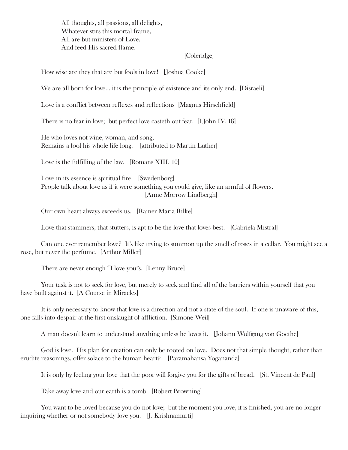All thoughts, all passions, all delights, Whatever stirs this mortal frame, All are but ministers of Love, And feed His sacred flame.

#### [Coleridge]

How wise are they that are but fools in love! [Joshua Cooke]

We are all born for love... it is the principle of existence and its only end. [Disraeli]

Love is a conflict between reflexes and reflections [Magnus Hirschfield]

There is no fear in love; but perfect love casteth out fear. [I John IV. 18]

 He who loves not wine, woman, and song, Remains a fool his whole life long. [attributed to Martin Luther]

Love is the fulfilling of the law. [Romans XIII. 10]

 Love in its essence is spiritual fire. [Swedenborg] People talk about love as if it were something you could give, like an armful of flowers. [Anne Morrow Lindbergh]

Our own heart always exceeds us. [Rainer Maria Rilke]

Love that stammers, that stutters, is apt to be the love that loves best. [Gabriela Mistral]

 Can one ever remember love? It's like trying to summon up the smell of roses in a cellar. You might see a rose, but never the perfume. [Arthur Miller]

There are never enough "I love you"s. [Lenny Bruce]

 Your task is not to seek for love, but merely to seek and find all of the barriers within yourself that you have built against it. [A Course in Miracles]

 It is only necessary to know that love is a direction and not a state of the soul. If one is unaware of this, one falls into despair at the first onslaught of affliction. [Simone Weil]

A man doesn't learn to understand anything unless he loves it. [Johann Wolfgang von Goethe]

God is love. His plan for creation can only be rooted on love. Does not that simple thought, rather than erudite reasonings, offer solace to the human heart? [Paramahansa Yogananda]

It is only by feeling your love that the poor will forgive you for the gifts of bread. [St. Vincent de Paul]

Take away love and our earth is a tomb. [Robert Browning]

 You want to be loved because you do not love; but the moment you love, it is finished, you are no longer inquiring whether or not somebody love you. [J. Krishnamurti]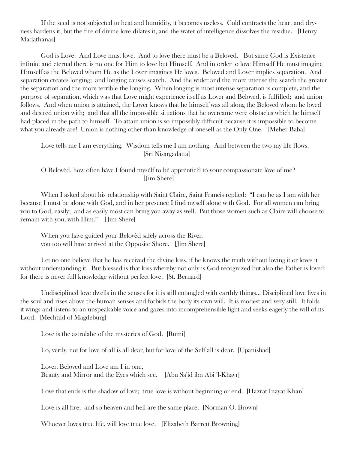If the seed is not subjected to heat and humidity, it becomes useless. Cold contracts the heart and dryness hardens it, but the fire of divine love dilates it, and the water of intelligence dissolves the residue. [Henry Madathanas]

 God is Love. And Love must love. And to love there must be a Beloved. But since God is Existence infinite and eternal there is no one for Him to love but Himself. And in order to love Himself He must imagine Himself as the Beloved whom He as the Lover imagines He loves. Beloved and Lover implies separation. And separation creates longing; and longing causes search. And the wider and the more intense the search the greater the separation and the more terrible the longing. When longing is most intense separation is complete, and the purpose of separation, which was that Love might experience itself as Lover and Beloved, is fulfilled; and union follows. And when union is attained, the Lover knows that he himself was all along the Beloved whom he loved and desired union with; and that all the impossible situations that he overcame were obstacles which he himself had placed in the path to himself. To attain union is so impossibly difficult because it is impossible to become what you already are! Union is nothing other than knowledge of oneself as the Only One. [Meher Baba]

 Love tells me I am everything. Wisdom tells me I am nothing. And between the two my life flows. [Sri Nisargadatta]

 O Belovèd, how óften háve I fóund mysélf to bé appréntic'd tó your compássionate lóve of mé? [Jim Shere]

 When I asked about his relationship with Saint Claire, Saint Francis replied: "I can be as I am with her because I must be alone with God, and in her presence I find myself alone with God. For all women can bring you to God, easily; and as easily most can bring you away as well. But those women such as Claire will choose to remain with you, with Him." [Jim Shere]

 When you have guided your Belovèd safely across the River, you too will have arrived at the Opposite Shore. [Jim Shere]

 Let no one believe that he has received the divine kiss, if he knows the truth without loving it or loves it without understanding it. But blessed is that kiss whereby not only is God recognized but also the Father is loved: for there is never full knowledge without perfect love. [St. Bernard]

Undisciplined love dwells in the senses for it is still entangled with earthly things... Disciplined love lives in the soul and rises above the human senses and forbids the body its own will. It is modest and very still. It folds it wings and listens to an unspeakable voice and gazes into incomprehensible light and seeks eagerly the will of its Lord. [Mechtild of Magdeburg]

Love is the astrolabe of the mysteries of God. [Rumi]

Lo, verily, not for love of all is all dear, but for love of the Self all is dear. [Upanishad]

 Lover, Beloved and Love am I in one, Beauty and Mirror and the Eyes which see. [Abu Sa'id ibn Abi 'l-Khayr]

Love that ends is the shadow of love; true love is without beginning or end. [Hazrat Inayat Khan]

Love is all fire; and so heaven and hell are the same place. [Norman O. Brown]

Whoever loves true life, will love true love. [Elizabeth Barrett Browning]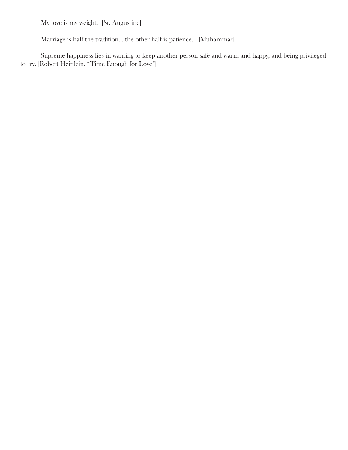My love is my weight. [St. Augustine]

Marriage is half the tradition... the other half is patience. [Muhammad]

 Supreme happiness lies in wanting to keep another person safe and warm and happy, and being privileged to try. [Robert Heinlein, "Time Enough for Love"]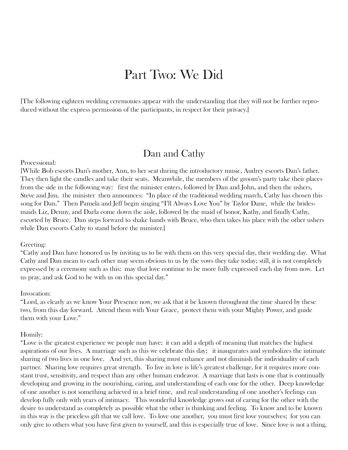# Part Two: We Did

[The following eighteen wedding ceremonies appear with the understanding that they will not be further reproduced without the express permission of the participants, in respect for their privacy.]

## Dan and Cathy

#### Processional:

[While Bob escorts Dan's mother, Ann, to her seat during the introductory music, Audrey escorts Dan's father. They then light the candles and take their seats. Meanwhile, the members of the groom's party take their places from the side in the following way: first the minister enters, followed by Dan and John, and then the ushers, Steve and Jim. the minister then announces: "In place of the traditional wedding march, Cathy has chosen this song for Dan." Then Pamela and Jeff begin singing "I'll Always Love You" by Taylor Dane, while the bridesmaids Liz, Denny, and Darla come down the aisle, followed by the maid of honor, Kathy, and finally Cathy, escorted by Bruce. Dan steps forward to shake hands with Bruce, who then takes his place with the other ushers while Dan escorts Cathy to stand before the minister.]

#### Greeting:

"Cathy and Dan have honored us by inviting us to be with them on this very special day, their wedding day. What Cathy and Dan mean to each other may seem obvious to us by the vows they take today; still, it is not completely expressed by a ceremony such as this: may that love continue to be more fully expressed each day from now. Let us pray, and ask God to be with us on this special day."

#### Invocation:

"Lord, as clearly as we know Your Presence now, we ask that it be known throughout the time shared by these two, from this day forward. Attend them with Your Grace, protect them with your Mighty Power, and guide them with your Love."

#### Homily:

"Love is the greatest experience we people may have; it can add a depth of meaning that matches the highest aspirations of our lives. A marriage such as this we celebrate this day; it inaugurates and symbolizes the intimate sharing of two lives in one love. And yet, this sharing must enhance and not diminish the individuality of each partner. Sharing love requires great strength. To live in love is life's greatest challenge, for it requires more constant trust, sensitivity, and respect than any other human endeavor. A marriage that lasts is one that is continually developing and growing in the nourishing, caring, and understanding of each one for the other. Deep knowledge of one another is not something achieved in a brief time, and real understanding of one another's feelings can develop fully only with years of intimacy. This wonderful knowledge grows out of caring for the other with the desire to understand as completely as possible what the other is thinking and feeling. To know and to be known in this way is the priceless gift that we call love. To love one another, you must first love yourselves; for you can only give to others what you have first given to yourself, and this is especially true of love. Since love is not a thing,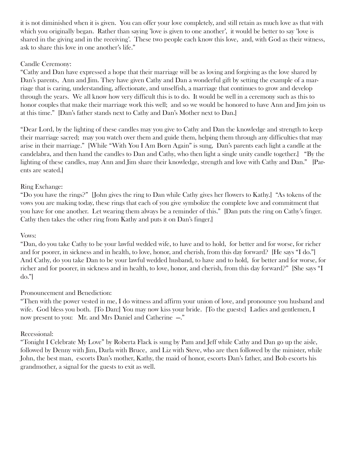it is not diminished when it is given. You can offer your love completely, and still retain as much love as that with which you originally began. Rather than saying 'love is given to one another', it would be better to say 'love is shared in the giving and in the receiving'. These two people each know this love, and, with God as their witness, ask to share this love in one another's life."

#### Candle Ceremony:

"Cathy and Dan have expressed a hope that their marriage will be as loving and forgiving as the love shared by Dan's parents, Ann and Jim. They have given Cathy and Dan a wonderful gift by setting the example of a marriage that is caring, understanding, affectionate, and unselfish, a marriage that continues to grow and develop through the years. We all know how very difficult this is to do. It would be well in a ceremony such as this to honor couples that make their marriage work this well; and so we would be honored to have Ann and Jim join us at this time." [Dan's father stands next to Cathy and Dan's Mother next to Dan.]

"Dear Lord, by the lighting of these candles may you give to Cathy and Dan the knowledge and strength to keep their marriage sacred; may you watch over them and guide them, helping them through any difficulties that may arise in their marriage." [While "With You I Am Born Again" is sung, Dan's parents each light a candle at the candelabra, and then hand the candles to Dan and Cathy, who then light a single unity candle together.] "By the lighting of these candles, may Ann and Jim share their knowledge, strength and love with Cathy and Dan." [Parents are seated.]

#### Ring Exchange:

"Do you have the rings?" [John gives the ring to Dan while Cathy gives her flowers to Kathy.] "As tokens of the vows you are making today, these rings that each of you give symbolize the complete love and commitment that you have for one another. Let wearing them always be a reminder of this." [Dan puts the ring on Cathy's finger. Cathy then takes the other ring from Kathy and puts it on Dan's finger.]

#### Vows:

"Dan, do you take Cathy to be your lawful wedded wife, to have and to hold, for better and for worse, for richer and for poorer, in sickness and in health, to love, honor, and cherish, from this day forward? [He says "I do."] And Cathy, do you take Dan to be your lawful wedded husband, to have and to hold, for better and for worse, for richer and for poorer, in sickness and in health, to love, honor, and cherish, from this day forward?" [She says "I do."]

#### Pronouncement and Benediction:

"Then with the power vested in me, I do witness and affirm your union of love, and pronounce you husband and wife. God bless you both. [To Dan:] You may now kiss your bride. [To the guests:] Ladies and gentlemen, I now present to you: Mr. and Mrs Daniel and Catherine —."

#### Recessional:

"Tonight I Celebrate My Love" by Roberta Flack is sung by Pam and Jeff while Cathy and Dan go up the aisle, followed by Denny with Jim, Darla with Bruce, and Liz with Steve, who are then followed by the minister, while John, the best man, escorts Dan's mother, Kathy, the maid of honor, escorts Dan's father, and Bob escorts his grandmother, a signal for the guests to exit as well.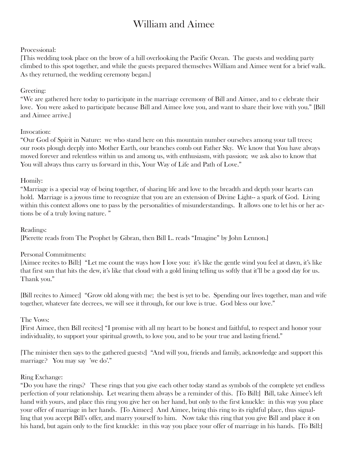## William and Aimee

#### Processional:

[This wedding took place on the brow of a hill overlooking the Pacific Ocean. The guests and wedding party climbed to this spot together, and while the guests prepared themselves William and Aimee went for a brief walk. As they returned, the wedding ceremony began.]

#### Greeting:

"We are gathered here today to participate in the marriage ceremony of Bill and Aimee, and to c elebrate their love. You were asked to participate because Bill and Aimee love you, and want to share their love with you." [Bill and Aimee arrive.]

#### Invocation:

"Our God of Spirit in Nature: we who stand here on this mountain number ourselves among your tall trees; our roots plough deeply into Mother Earth, our branches comb out Father Sky. We know that You have always moved forever and relentless within us and among us, with enthusiasm, with passion; we ask also to know that You will always thus carry us forward in this, Your Way of Life and Path of Love."

#### Homily:

"Marriage is a special way of being together, of sharing life and love to the breadth and depth your hearts can hold. Marriage is a joyous time to recognize that you are an extension of Divine Light-- a spark of God. Living within this context allows one to pass by the personalities of misunderstandings. It allows one to let his or her actions be of a truly loving nature. "

#### Readings:

[Pierette reads from The Prophet by Gibran, then Bill L. reads "Imagine" by John Lennon.]

## Personal Commitments:

[Aimee recites to Bill:] "Let me count the ways how I love you: it's like the gentle wind you feel at dawn, it's like that first sun that hits the dew, it's like that cloud with a gold lining telling us softly that it'll be a good day for us. Thank you."

[Bill recites to Aimee:] "Grow old along with me; the best is yet to be. Spending our lives together, man and wife together, whatever fate decrees, we will see it through, for our love is true. God bless our love."

#### The Vows:

[First Aimee, then Bill recites:] "I promise with all my heart to be honest and faithful, to respect and honor your individuality, to support your spiritual growth, to love you, and to be your true and lasting friend."

[The minister then says to the gathered guests:] "And will you, friends and family, acknowledge and support this marriage? You may say 'we do'."

## Ring Exchange:

"Do you have the rings? These rings that you give each other today stand as symbols of the complete yet endless perfection of your relationship. Let wearing them always be a reminder of this. [To Bill:] Bill, take Aimee's left hand with yours, and place this ring you give her on her hand, but only to the first knuckle: in this way you place your offer of marriage in her hands. [To Aimee:] And Aimee, bring this ring to its rightful place, thus signalling that you accept Bill's offer, and marry yourself to him. Now take this ring that you give Bill and place it on his hand, but again only to the first knuckle: in this way you place your offer of marriage in his hands. [To Bill:]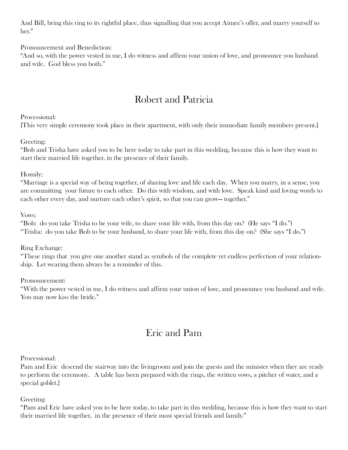And Bill, bring this ring to its rightful place, thus signalling that you accept Aimee's offer, and marry yourself to her."

Pronouncement and Benediction:

"And so, with the power vested in me, I do witness and affirm your union of love, and pronounce you husband and wife. God bless you both."

## Robert and Patricia

## Processional:

[This very simple ceremony took place in their apartment, with only their immediate family members present.]

## Greeting:

"Bob and Trisha have asked you to be here today to take part in this wedding, because this is how they want to start their married life together, in the presence of their family.

## Homily:

"Marriage is a special way of being together, of sharing love and life each day. When you marry, in a sense, you are committing your future to each other. Do this with wisdom, and with love. Speak kind and loving words to each other every day, and nurture each other's spirit, so that you can grow— together."

#### Vows:

"Bob: do you take Trisha to be your wife, to share your life with, from this day on? (He says "I do.") "Trisha: do you take Bob to be your husband, to share your life with, from this day on? (She says "I do.")

#### Ring Exchange:

"These rings that you give one another stand as symbols of the complete yet endless perfection of your relationship. Let wearing them always be a reminder of this.

#### Pronouncement:

"With the power vested in me, I do witness and affirm your union of love, and pronounce you husband and wife. You may now kiss the bride."

## Eric and Pam

## Processional:

Pam and Eric descend the stairway into the livingroom and join the guests and the minister when they are ready to perform the ceremony. A table has been prepared with the rings, the written vows, a pitcher of water, and a special goblet.]

## Greeting:

"Pam and Eric have asked you to be here today, to take part in this wedding, because this is how they want to start their married life together, in the presence of their most special friends and family."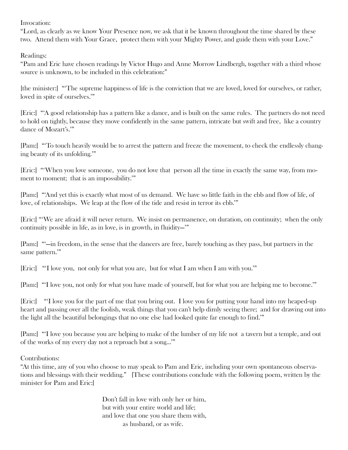Invocation:

"Lord, as clearly as we know Your Presence now, we ask that it be known throughout the time shared by these two. Attend them with Your Grace, protect them with your Mighty Power, and guide them with your Love."

Readings:

"Pam and Eric have chosen readings by Victor Hugo and Anne Morrow Lindbergh, together with a third whose source is unknown, to be included in this celebration:"

[the minister:] "The supreme happiness of life is the conviction that we are loved, loved for ourselves, or rather, loved in spite of ourselves.'"

[Eric:] "'A good relationship has a pattern like a dance, and is built on the same rules. The partners do not need to hold on tightly, because they move confidently in the same pattern, intricate but swift and free, like a country dance of Mozart's.'"

[Pam:] "'To touch heavily would be to arrest the pattern and freeze the movement, to check the endlessly changing beauty of its unfolding.'"

[Eric:] "'When you love someone, you do not love that person all the time in exactly the same way, from moment to moment; that is an impossibility.'"

[Pam:] "'And yet this is exactly what most of us demand. We have so little faith in the ebb and flow of life, of love, of relationships. We leap at the flow of the tide and resist in terror its ebb.'"

[Eric:] "'We are afraid it will never return. We insist on permanence, on duration, on continuity; when the only continuity possible in life, as in love, is in growth, in fluidity—'"

[Pam:] "'—in freedom, in the sense that the dancers are free, barely touching as they pass, but partners in the same pattern."

[Eric:] "'I love you, not only for what you are, but for what I am when I am with you.'"

[Pam:] "'I love you, not only for what you have made of yourself, but for what you are helping me to become.'"

[Eric:] "'I love you for the part of me that you bring out. I love you for putting your hand into my heaped-up heart and passing over all the foolish, weak things that you can't help dimly seeing there; and for drawing out into the light all the beautiful belongings that no one else had looked quite far enough to find.'"

[Pam:] "'I love you because you are helping to make of the lumber of my life not a tavern but a temple, and out of the works of my every day not a reproach but a song...'"

Contributions:

"At this time, any of you who choose to may speak to Pam and Eric, including your own spontaneous observations and blessings with their wedding." [These contributions conclude with the following poem, written by the minister for Pam and Eric:]

> Don't fall in love with only her or him, but with your entire world and life; and love that one you share them with, as husband, or as wife.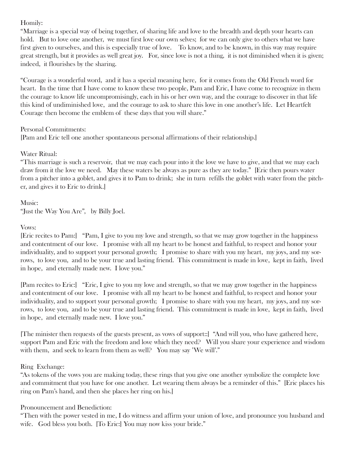## Homily:

"Marriage is a special way of being together, of sharing life and love to the breadth and depth your hearts can hold. But to love one another, we must first love our own selves; for we can only give to others what we have first given to ourselves, and this is especially true of love. To know, and to be known, in this way may require great strength, but it provides as well great joy. For, since love is not a thing, it is not diminished when it is given; indeed, it flourishes by the sharing.

"Courage is a wonderful word, and it has a special meaning here, for it comes from the Old French word for heart. In the time that I have come to know these two people, Pam and Eric, I have come to recognize in them the courage to know life uncompromisingly, each in his or her own way, and the courage to discover in that life this kind of undiminished love, and the courage to ask to share this love in one another's life. Let Heartfelt Courage then become the emblem of these days that you will share."

#### Personal Commitments:

[Pam and Eric tell one another spontaneous personal affirmations of their relationship.]

## Water Ritual:

"This marriage is such a reservoir, that we may each pour into it the love we have to give, and that we may each draw from it the love we need. May these waters be always as pure as they are today." [Eric then pours water from a pitcher into a goblet, and gives it to Pam to drink; she in turn refills the goblet with water from the pitcher, and gives it to Eric to drink.]

## Music:

"Just the Way You Are", by Billy Joel.

#### Vows:

[Eric recites to Pam:] "Pam, I give to you my love and strength, so that we may grow together in the happiness and contentment of our love. I promise with all my heart to be honest and faithful, to respect and honor your individuality, and to support your personal growth; I promise to share with you my heart, my joys, and my sorrows, to love you, and to be your true and lasting friend. This commitment is made in love, kept in faith, lived in hope, and eternally made new. I love you."

[Pam recites to Eric:] "Eric, I give to you my love and strength, so that we may grow together in the happiness and contentment of our love. I promise with all my heart to be honest and faithful, to respect and honor your individuality, and to support your personal growth; I promise to share with you my heart, my joys, and my sorrows, to love you, and to be your true and lasting friend. This commitment is made in love, kept in faith, lived in hope, and eternally made new. I love you."

[The minister then requests of the guests present, as vows of support::] "And will you, who have gathered here, support Pam and Eric with the freedom and love which they need? Will you share your experience and wisdom with them, and seek to learn from them as well? You may say 'We will'."

## Ring Exchange:

"As tokens of the vows you are making today, these rings that you give one another symbolize the complete love and commitment that you have for one another. Let wearing them always be a reminder of this." [Eric places his ring on Pam's hand, and then she places her ring on his.]

## Pronouncement and Benediction:

"Then with the power vested in me, I do witness and affirm your union of love, and pronounce you husband and wife. God bless you both. [To Eric:] You may now kiss your bride."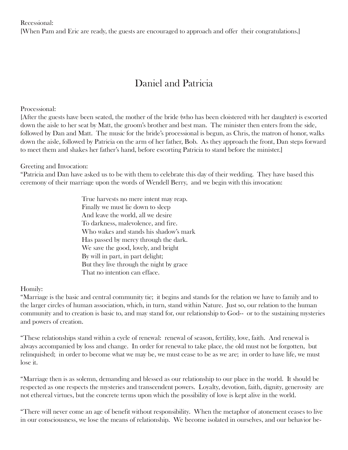Recessional:

[When Pam and Eric are ready, the guests are encouraged to approach and offer their congratulations.]

# Daniel and Patricia

Processional:

[After the guests have been seated, the mother of the bride (who has been cloistered with her daughter) is escorted down the aisle to her seat by Matt, the groom's brother and best man. The minister then enters from the side, followed by Dan and Matt. The music for the bride's processional is begun, as Chris, the matron of honor, walks down the aisle, followed by Patricia on the arm of her father, Bob. As they approach the front, Dan steps forward to meet them and shakes her father's hand, before escorting Patricia to stand before the minister.]

#### Greeting and Invocation:

"Patricia and Dan have asked us to be with them to celebrate this day of their wedding. They have based this ceremony of their marriage upon the words of Wendell Berry, and we begin with this invocation:

> True harvests no mere intent may reap. Finally we must lie down to sleep And leave the world, all we desire To darkness, malevolence, and fire. Who wakes and stands his shadow's mark Has passed by mercy through the dark. We save the good, lovely, and bright By will in part, in part delight; But they live through the night by grace That no intention can efface.

#### Homily:

"Marriage is the basic and central community tie; it begins and stands for the relation we have to family and to the larger circles of human association, which, in turn, stand within Nature. Just so, our relation to the human community and to creation is basic to, and may stand for, our relationship to God-- or to the sustaining mysteries and powers of creation.

"These relationships stand within a cycle of renewal: renewal of season, fertility, love, faith. And renewal is always accompanied by loss and change. In order for renewal to take place, the old must not be forgotten, but relinquished; in order to become what we may be, we must cease to be as we are; in order to have life, we must lose it.

"Marriage then is as solemn, demanding and blessed as our relationship to our place in the world. It should be respected as one respects the mysteries and transcendent powers. Loyalty, devotion, faith, dignity, generosity are not ethereal virtues, but the concrete terms upon which the possibility of love is kept alive in the world.

"There will never come an age of benefit without responsibility. When the metaphor of atonement ceases to live in our consciousness, we lose the means of relationship. We become isolated in ourselves, and our behavior be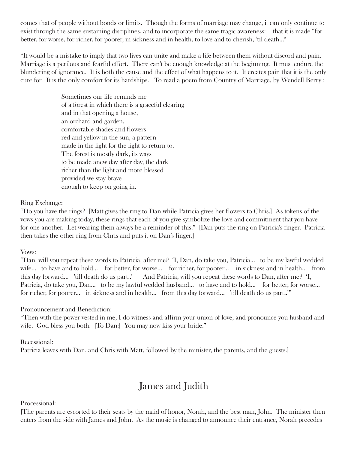comes that of people without bonds or limits. Though the forms of marriage may change, it can only continue to exist through the same sustaining disciplines, and to incorporate the same tragic awareness: that it is made "for better, for worse, for richer, for poorer, in sickness and in health, to love and to cherish, 'til death..."

"It would be a mistake to imply that two lives can unite and make a life between them without discord and pain. Marriage is a perilous and fearful effort. There can't be enough knowledge at the beginning. It must endure the blundering of ignorance. It is both the cause and the effect of what happens to it. It creates pain that it is the only cure for. It is the only comfort for its hardships. To read a poem from Country of Marriage, by Wendell Berry :

> Sometimes our life reminds me of a forest in which there is a graceful clearing and in that opening a house, an orchard and garden, comfortable shades and flowers red and yellow in the sun, a pattern made in the light for the light to return to. The forest is mostly dark, its ways to be made anew day after day, the dark richer than the light and more blessed provided we stay brave enough to keep on going in.

#### Ring Exchange:

"Do you have the rings? [Matt gives the ring to Dan while Patricia gives her flowers to Chris.] As tokens of the vows you are making today, these rings that each of you give symbolize the love and commitment that you have for one another. Let wearing them always be a reminder of this." [Dan puts the ring on Patricia's finger. Patricia then takes the other ring from Chris and puts it on Dan's finger.]

#### Vows:

"Dan, will you repeat these words to Patricia, after me? 'I, Dan, do take you, Patricia... to be my lawful wedded wife... to have and to hold... for better, for worse... for richer, for poorer... in sickness and in health... from this day forward... 'till death do us part..' And Patricia, will you repeat these words to Dan, after me? 'I, Patricia, do take you, Dan... to be my lawful wedded husband... to have and to hold... for better, for worse... for richer, for poorer... in sickness and in health... from this day forward... 'till death do us part..'"

#### Pronouncement and Benediction:

"Then with the power vested in me, I do witness and affirm your union of love, and pronounce you husband and wife. God bless you both. [To Dan:] You may now kiss your bride."

#### Recessional:

Patricia leaves with Dan, and Chris with Matt, followed by the minister, the parents, and the guests.]

## James and Judith

Processional:

[The parents are escorted to their seats by the maid of honor, Norah, and the best man, John. The minister then enters from the side with James and John. As the music is changed to announce their entrance, Norah precedes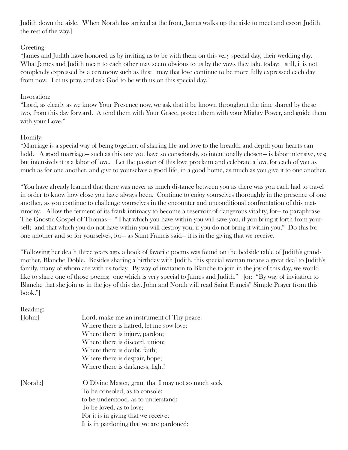Judith down the aisle. When Norah has arrived at the front, James walks up the aisle to meet and escort Judith the rest of the way.]

#### Greeting:

"James and Judith have honored us by inviting us to be with them on this very special day, their wedding day. What James and Judith mean to each other may seem obvious to us by the vows they take today; still, it is not completely expressed by a ceremony such as this: may that love continue to be more fully expressed each day from now. Let us pray, and ask God to be with us on this special day."

#### Invocation:

"Lord, as clearly as we know Your Presence now, we ask that it be known throughout the time shared by these two, from this day forward. Attend them with Your Grace, protect them with your Mighty Power, and guide them with your Love."

## Homily:

"Marriage is a special way of being together, of sharing life and love to the breadth and depth your hearts can hold. A good marriage— such as this one you have so consciously, so intentionally chosen— is labor intensive, yes; but intensively it is a labor of love. Let the passion of this love proclaim and celebrate a love for each of you as much as for one another, and give to yourselves a good life, in a good home, as much as you give it to one another.

"You have already learned that there was never as much distance between you as there was you each had to travel in order to know how close you have always been. Continue to enjoy yourselves thoroughly in the presence of one another, as you continue to challenge yourselves in the encounter and unconditional confrontation of this matrimony. Allow the ferment of its frank intimacy to become a reservoir of dangerous vitality, for— to paraphrase The Gnostic Gospel of Thomas— "That which you have within you will save you, if you bring it forth from yourself; and that which you do not have within you will destroy you, if you do not bring it within you." Do this for one another and so for yourselves, for— as Saint Francis said— it is in the giving that we receive.

"Following her death three years ago, a book of favorite poems was found on the bedside table of Judith's grandmother, Blanche Doble. Besides sharing a birthday with Judith, this special woman means a great deal to Judith's family, many of whom are with us today. By way of invitation to Blanche to join in the joy of this day, we would like to share one of those poems; one which is very special to James and Judith." [or: "By way of invitation to Blanche that she join us in the joy of this day, John and Norah will read Saint Francis" Simple Prayer from this book."]

Reading:

| [John:   | Lord, make me an instrument of Thy peace:          |
|----------|----------------------------------------------------|
|          | Where there is hatred, let me sow love;            |
|          | Where there is injury, pardon;                     |
|          | Where there is discord, union;                     |
|          | Where there is doubt, faith;                       |
|          | Where there is despair, hope;                      |
|          | Where there is darkness, light!                    |
| [Norah:] | O Divine Master, grant that I may not so much seek |
|          | To be consoled, as to console;                     |
|          | to be understood, as to understand;                |
|          | To be loved, as to love;                           |
|          | For it is in giving that we receive;               |
|          | It is in pardoning that we are pardoned;           |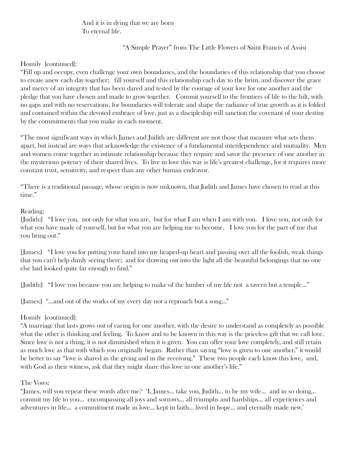And it is in dying that we are born To eternal life.

### "A Simple Prayer" from The Little Flowers of Saint Francis of Assisi

### Homily [continued]:

"Fill up and occupy, even challenge your own boundaries, and the boundaries of this relationship that you choose to create anew each day together; fill yourself and this relationship each day to the brim, and discover the grace and mercy of an integrity that has been dared and tested by the courage of your love for one another and the pledge that you have chosen and made to grow together. Commit yourself to the frontiers of life to the hilt, with no gaps and with no reservations, for boundaries will tolerate and shape the radiance of true growth as it is folded and contained within the devoted embrace of love, just as a discipleship will sanction the covenant of your destiny by the commitments that you make in each moment.

"The most significant ways in which James and Judith are different are not those that measure what sets them apart, but instead are ways that acknowledge the existence of a fundamental interdependence and mutuality. Men and women come together in intimate relationship because they require and savor the presence of one another in the mysterious potency of their shared lives. To live in love this way is life's greatest challenge, for it requires more constant trust, sensitivity, and respect than any other human endeavor.

"There is a traditional passage, whose origin is now unknown, that Judith and James have chosen to read at this time."

#### Reading:

[Judith:] "I love you, not only for what you are, but for what I am when I am with you. I love you, not only for what you have made of yourself, but for what you are helping me to become. I love you for the part of me that you bring out."

[James:] "I love you for putting your hand into my heaped-up heart and passing over all the foolish, weak things that you can't help dimly seeing there; and for drawing out into the light all the beautiful belongings that no one else had looked quite far enough to find."

[Judith:] "I love you because you are helping to make of the lumber of my life not a tavern but a temple…"

[James:] "…and out of the works of my every day not a reproach but a song..."

## Homily [continued]:

"A marriage that lasts grows out of caring for one another, with the desire to understand as completely as possible what the other is thinking and feeling. To know and to be known in this way is the priceless gift that we call love. Since love is not a thing, it is not diminished when it is given. You can offer your love completely, and still retain as much love as that with which you originally began. Rather than saying "love is given to one another," it would be better to say "love is shared in the giving and in the receiving." These two people each know this love, and, with God as their witness, ask that they might share this love in one another's life."

#### The Vows:

"James, will you repeat these words after me? 'I, James... take you, Judith... to be my wife... and in so doing... commit my life to you... encompassing all joys and sorrows... all triumphs and hardships... all experiences and adventures in life... a commitment made in love... kept in faith... lived in hope... and eternally made new.'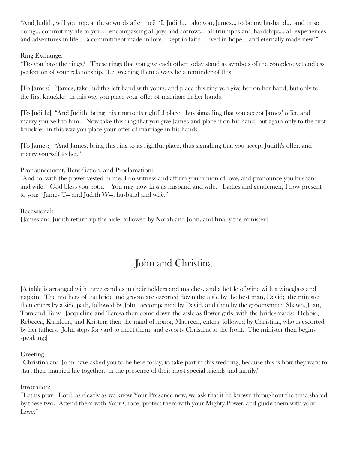"And Judith, will you repeat these words after me? 'I, Judith... take you, James... to be my husband... and in so doing... commit my life to you... encompassing all joys and sorrows... all triumphs and hardships... all experiences and adventures in life... a commitment made in love... kept in faith... lived in hope... and eternally made new.'"

### Ring Exchange:

"Do you have the rings? These rings that you give each other today stand as symbols of the complete yet endless perfection of your relationship. Let wearing them always be a reminder of this.

[To James:] "James, take Judith's left hand with yours, and place this ring you give her on her hand, but only to the first knuckle: in this way you place your offer of marriage in her hands.

[To Judith:] "And Judith, bring this ring to its rightful place, thus signalling that you accept James' offer, and marry yourself to him. Now take this ring that you give James and place it on his hand, but again only to the first knuckle: in this way you place your offer of marriage in his hands.

[To James:] "And James, bring this ring to its rightful place, thus signalling that you accept Judith's offer, and marry yourself to her."

#### Pronouncement, Benediction, and Proclamation:

"And so, with the power vested in me, I do witness and affirm your union of love, and pronounce you husband and wife. God bless you both. You may now kiss as husband and wife. Ladies and gentlemen, I now present to you: James T— and Judith W—, husband and wife."

Recessional:

[James and Judith return up the aisle, followed by Norah and John, and finally the minister.]

## John and Christina

[A table is arranged with three candles in their holders and matches, and a bottle of wine with a wineglass and napkin. The mothers of the bride and groom are escorted down the aisle by the best man, David; the minister then enters by a side path, followed by John, accompanied by David, and then by the groomsmen: Shawn, Juan, Tom and Tony. Jacqueline and Teresa then come down the aisle as flower girls, with the bridesmaids: Debbie, Rebecca, Kathleen, and Kristen; then the maid of honor, Maureen, enters, followed by Christina, who is escorted by her fathers. John steps forward to meet them, and escorts Christina to the front. The minister then begins speaking:]

#### Greeting:

"Christina and John have asked you to be here today, to take part in this wedding, because this is how they want to start their married life together, in the presence of their most special friends and family."

#### Invocation:

"Let us pray: Lord, as clearly as we know Your Presence now, we ask that it be known throughout the time shared by these two. Attend them with Your Grace, protect them with your Mighty Power, and guide them with your Love."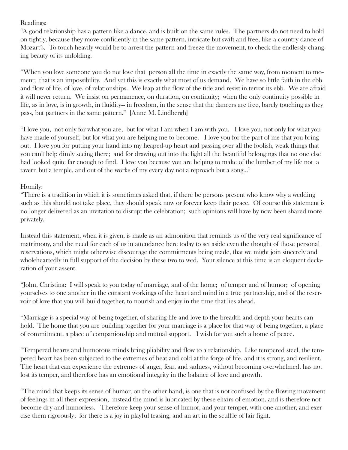#### Readings:

"A good relationship has a pattern like a dance, and is built on the same rules. The partners do not need to hold on tightly, because they move confidently in the same pattern, intricate but swift and free, like a country dance of Mozart's. To touch heavily would be to arrest the pattern and freeze the movement, to check the endlessly changing beauty of its unfolding.

"When you love someone you do not love that person all the time in exactly the same way, from moment to moment; that is an impossibility. And yet this is exactly what most of us demand. We have so little faith in the ebb and flow of life, of love, of relationships. We leap at the flow of the tide and resist in terror its ebb. We are afraid it will never return. We insist on permanence, on duration, on continuity; when the only continuity possible in life, as in love, is in growth, in fluidity-- in freedom, in the sense that the dancers are free, barely touching as they pass, but partners in the same pattern." [Anne M. Lindbergh]

"I love you, not only for what you are, but for what I am when I am with you. I love you, not only for what you have made of yourself, but for what you are helping me to become. I love you for the part of me that you bring out. I love you for putting your hand into my heaped-up heart and passing over all the foolish, weak things that you can't help dimly seeing there; and for drawing out into the light all the beautiful belongings that no one else had looked quite far enough to find. I love you because you are helping to make of the lumber of my life not a tavern but a temple, and out of the works of my every day not a reproach but a song..."

## Homily:

"There is a tradition in which it is sometimes asked that, if there be persons present who know why a wedding such as this should not take place, they should speak now or forever keep their peace. Of course this statement is no longer delivered as an invitation to disrupt the celebration; such opinions will have by now been shared more privately.

Instead this statement, when it is given, is made as an admonition that reminds us of the very real significance of matrimony, and the need for each of us in attendance here today to set aside even the thought of those personal reservations, which might otherwise discourage the commitments being made, that we might join sincerely and wholeheartedly in full support of the decision by these two to wed. Your silence at this time is an eloquent declaration of your assent.

"John, Christina: I will speak to you today of marriage, and of the home; of temper and of humor; of opening yourselves to one another in the constant workings of the heart and mind in a true partnership, and of the reservoir of love that you will build together, to nourish and enjoy in the time that lies ahead.

"Marriage is a special way of being together, of sharing life and love to the breadth and depth your hearts can hold. The home that you are building together for your marriage is a place for that way of being together, a place of commitment, a place of companionship and mutual support. I wish for you such a home of peace.

"Tempered hearts and humorous minds bring pliability and flow to a relationship. Like tempered steel, the tempered heart has been subjected to the extremes of heat and cold at the forge of life, and it is strong, and resilient. The heart that can experience the extremes of anger, fear, and sadness, without becoming overwhelmed, has not lost its temper, and therefore has an emotional integrity in the balance of love and growth.

"The mind that keeps its sense of humor, on the other hand, is one that is not confused by the flowing movement of feelings in all their expression; instead the mind is lubricated by these elixirs of emotion, and is therefore not become dry and humorless. Therefore keep your sense of humor, and your temper, with one another, and exercise them rigorously; for there is a joy in playful teasing, and an art in the scuffle of fair fight.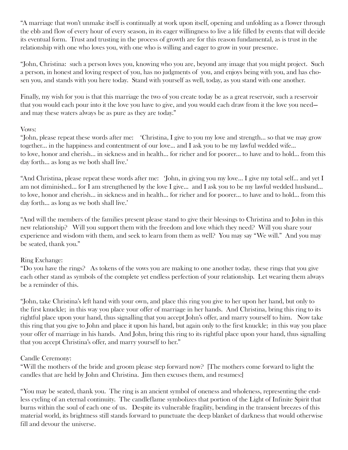"A marriage that won't unmake itself is continually at work upon itself, opening and unfolding as a flower through the ebb and flow of every hour of every season, in its eager willingness to live a life filled by events that will decide its eventual form. Trust and trusting in the process of growth are for this reason fundamental, as is trust in the relationship with one who loves you, with one who is willing and eager to grow in your presence.

"John, Christina: such a person loves you, knowing who you are, beyond any image that you might project. Such a person, in honest and loving respect of you, has no judgments of you, and enjoys being with you, and has chosen you, and stands with you here today. Stand with yourself as well, today, as you stand with one another.

Finally, my wish for you is that this marriage the two of you create today be as a great reservoir, such a reservoir that you would each pour into it the love you have to give, and you would each draw from it the love you need and may these waters always be as pure as they are today."

#### Vows:

"John, please repeat these words after me: 'Christina, I give to you my love and strength… so that we may grow together… in the happiness and contentment of our love... and I ask you to be my lawful wedded wife... to love, honor and cherish… in sickness and in health… for richer and for poorer… to have and to hold… from this day forth… as long as we both shall live.'

"And Christina, please repeat these words after me: 'John, in giving you my love… I give my total self… and yet I am not diminished… for I am strengthened by the love I give... and I ask you to be my lawful wedded husband... to love, honor and cherish… in sickness and in health… for richer and for poorer… to have and to hold… from this day forth… as long as we both shall live.'

"And will the members of the families present please stand to give their blessings to Christina and to John in this new relationship? Will you support them with the freedom and love which they need? Will you share your experience and wisdom with them, and seek to learn from them as well? You may say "We will." And you may be seated, thank you."

#### Ring Exchange:

"Do you have the rings? As tokens of the vows you are making to one another today, these rings that you give each other stand as symbols of the complete yet endless perfection of your relationship. Let wearing them always be a reminder of this.

"John, take Christina's left hand with your own, and place this ring you give to her upon her hand, but only to the first knuckle; in this way you place your offer of marriage in her hands. And Christina, bring this ring to its rightful place upon your hand, thus signalling that you accept John's offer, and marry yourself to him. Now take this ring that you give to John and place it upon his hand, but again only to the first knuckle; in this way you place your offer of marriage in his hands. And John, bring this ring to its rightful place upon your hand, thus signalling that you accept Christina's offer, and marry yourself to her."

#### Candle Ceremony:

"Will the mothers of the bride and groom please step forward now? [The mothers come forward to light the candles that are held by John and Christina. Jim then excuses them, and resumes:]

"You may be seated, thank you. The ring is an ancient symbol of oneness and wholeness, representing the endless cycling of an eternal continuity. The candleflame symbolizes that portion of the Light of Infinite Spirit that burns within the soul of each one of us. Despite its vulnerable fragility, bending in the transient breezes of this material world, its brightness still stands forward to punctuate the deep blanket of darkness that would otherwise fill and devour the universe.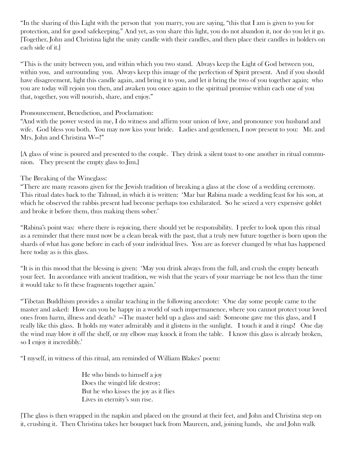"In the sharing of this Light with the person that you marry, you are saying, "this that I am is given to you for protection, and for good safekeeping." And yet, as you share this light, you do not abandon it, nor do you let it go. [Together, John and Christina light the unity candle with their candles, and then place their candles in holders on each side of it.]

"This is the unity between you, and within which you two stand. Always keep the Light of God between you, within you, and surrounding you. Always keep this image of the perfection of Spirit present. And if you should have disagreement, light this candle again, and bring it to you, and let it bring the two of you together again; who you are today will rejoin you then, and awaken you once again to the spiritual promise within each one of you that, together, you will nourish, share, and enjoy."

Pronouncement, Benediction, and Proclamation:

"And with the power vested in me, I do witness and affirm your union of love, and pronounce you husband and wife. God bless you both. You may now kiss your bride. Ladies and gentlemen, I now present to you: Mr. and Mrs. John and Christina W—!"

[A glass of wine is poured and presented to the couple. They drink a silent toast to one another in ritual communion. They present the empty glass to Jim.]

The Breaking of the Wineglass:

"There are many reasons given for the Jewish tradition of breaking a glass at the close of a wedding ceremony. This ritual dates back to the Talmud, in which it is written: 'Mar bar Rabina made a wedding feast for his son, at which he observed the rabbis present had become perhaps too exhilarated. So he seized a very expensive goblet and broke it before them, thus making them sober.'

"Rabina's point was: where there is rejoicing, there should yet be responsibility. I prefer to look upon this ritual as a reminder that there must now be a clean break with the past, that a truly new future together is born upon the shards of what has gone before in each of your individual lives. You are as forever changed by what has happened here today as is this glass.

"It is in this mood that the blessing is given: 'May you drink always from the full, and crush the empty beneath your feet. In accordance with ancient tradition, we wish that the years of your marriage be not less than the time it would take to fit these fragments together again.'

"Tibetan Buddhism provides a similar teaching in the following anecdote: 'One day some people came to the master and asked: How can you be happy in a world of such impermanence, where you cannot protect your loved ones from harm, illness and death? —The master held up a glass and said: Someone gave me this glass, and I really like this glass. It holds my water admirably and it glistens in the sunlight. I touch it and it rings! One day the wind may blow it off the shelf, or my elbow may knock it from the table. I know this glass is already broken, so I enjoy it incredibly.'

"I myself, in witness of this ritual, am reminded of William Blakes' poem:

 He who binds to himself a joy Does the wingèd life destroy; But he who kisses the joy as it flies Lives in eternity's sun rise.

[The glass is then wrapped in the napkin and placed on the ground at their feet, and John and Christina step on it, crushing it. Then Christina takes her bouquet back from Maureen, and, joining hands, she and John walk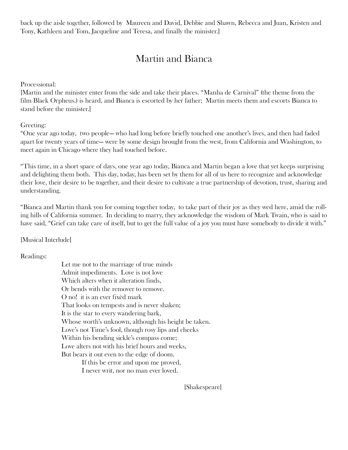back up the aisle together, followed by Maureen and David, Debbie and Shawn, Rebecca and Juan, Kristen and Tony, Kathleen and Tom, Jacqueline and Teresa, and finally the minister.]

## Martin and Bianca

Processional:

[Martin and the minister enter from the side and take their places. "Manha de Carnival" (the theme from the film Black Orpheus.) is heard, and Bianca is escorted by her father; Martin meets them and escorts Bianca to stand before the minister.]

Greeting:

"One year ago today, two people— who had long before briefly touched one another's lives, and then had faded apart for twenty years of time— were by some design brought from the west, from California and Washington, to meet again in Chicago where they had touched before.

"This time, in a short space of days, one year ago today, Bianca and Martin began a love that yet keeps surprising and delighting them both. This day, today, has been set by them for all of us here to recognize and acknowledge their love, their desire to be together, and their desire to cultivate a true partnership of devotion, trust, sharing and understanding.

"Bianca and Martin thank you for coming together today, to take part of their joy as they wed here, amid the rolling hills of California summer. In deciding to marry, they acknowledge the wisdom of Mark Twain, who is said to have said, "Grief can take care of itself, but to get the full value of a joy you must have somebody to divide it with."

[Musical Interlude]

Readings:

Let me not to the marriage of true minds Admit impediments. Love is not love Which alters when it alteration finds, Or bends with the remover to remove. O no! it is an ever fixèd mark That looks on tempests and is never shaken; It is the star to every wandering bark, Whose worth's unknown, although his height be taken. Love's not Time's fool, though rosy lips and cheeks Within his bending sickle's compass come; Love alters not with his brief hours and weeks, But bears it out even to the edge of doom. If this be error and upon me proved, I never writ, nor no man ever loved.

[Shakespeare]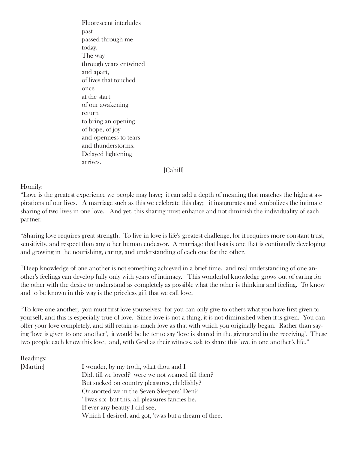Fluorescent interludes past passed through me today. The way through years entwined and apart, of lives that touched once at the start of our awakening return to bring an opening of hope, of joy and openness to tears and thunderstorms. Delayed lightening arrives.

#### [Cahill]

#### Homily:

"Love is the greatest experience we people may have; it can add a depth of meaning that matches the highest aspirations of our lives. A marriage such as this we celebrate this day; it inaugurates and symbolizes the intimate sharing of two lives in one love. And yet, this sharing must enhance and not diminish the individuality of each partner.

"Sharing love requires great strength. To live in love is life's greatest challenge, for it requires more constant trust, sensitivity, and respect than any other human endeavor. A marriage that lasts is one that is continually developing and growing in the nourishing, caring, and understanding of each one for the other.

"Deep knowledge of one another is not something achieved in a brief time, and real understanding of one another's feelings can develop fully only with years of intimacy. This wonderful knowledge grows out of caring for the other with the desire to understand as completely as possible what the other is thinking and feeling. To know and to be known in this way is the priceless gift that we call love.

"To love one another, you must first love yourselves; for you can only give to others what you have first given to yourself, and this is especially true of love. Since love is not a thing, it is not diminished when it is given. You can offer your love completely, and still retain as much love as that with which you originally began. Rather than saying 'love is given to one another', it would be better to say 'love is shared in the giving and in the receiving'. These two people each know this love, and, with God as their witness, ask to share this love in one another's life."

| Readings: |                                                      |
|-----------|------------------------------------------------------|
| [Martin:] | I wonder, by my troth, what thou and I               |
|           | Did, till we loved? were we not weaned till then?    |
|           | But sucked on country pleasures, childishly?         |
|           | Or snorted we in the Seven Sleepers' Den?            |
|           | Twas so; but this, all pleasures fancies be.         |
|           | If ever any beauty I did see,                        |
|           | Which I desired, and got, 'twas but a dream of thee. |
|           |                                                      |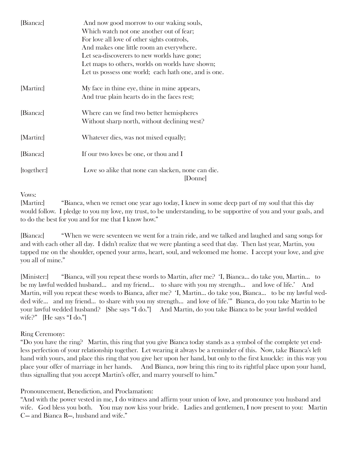| [Bianca:]   | And now good morrow to our waking souls,                                                         |                                                      |  |
|-------------|--------------------------------------------------------------------------------------------------|------------------------------------------------------|--|
|             | Which watch not one another out of fear;                                                         |                                                      |  |
|             | For love all love of other sights controls,                                                      |                                                      |  |
|             | And makes one little room an everywhere.                                                         |                                                      |  |
|             | Let sea-discoverers to new worlds have gone;<br>Let maps to others, worlds on worlds have shown; |                                                      |  |
|             |                                                                                                  | Let us possess one world; each hath one, and is one. |  |
|             | [Martin:]                                                                                        | My face in thine eye, thine in mine appears,         |  |
|             | And true plain hearts do in the faces rest;                                                      |                                                      |  |
| [Bianca:]   | Where can we find two better hemispheres                                                         |                                                      |  |
|             | Without sharp north, without declining west?                                                     |                                                      |  |
| [Martin:]   | Whatever dies, was not mixed equally;                                                            |                                                      |  |
|             |                                                                                                  |                                                      |  |
| [Bianca:]   | If our two loves be one, or thou and I                                                           |                                                      |  |
| [together:] | Love so alike that none can slacken, none can die.                                               |                                                      |  |
|             | [Donne]                                                                                          |                                                      |  |

Vows:

[Martin:] "Bianca, when we remet one year ago today, I knew in some deep part of my soul that this day would follow. I pledge to you my love, my trust, to be understanding, to be supportive of you and your goals, and to do the best for you and for me that I know how."

[Bianca:] "When we were seventeen we went for a train ride, and we talked and laughed and sang songs for and with each other all day. I didn't realize that we were planting a seed that day. Then last year, Martin, you tapped me on the shoulder, opened your arms, heart, soul, and welcomed me home. I accept your love, and give you all of mine."

[Minister:] "Bianca, will you repeat these words to Martin, after me? 'I, Bianca... do take you, Martin... to be my lawful wedded husband... and my friend... to share with you my strength... and love of life.' And Martin, will you repeat these words to Bianca, after me? 'I, Martin... do take you, Bianca... to be my lawful wedded wife... and my friend... to share with you my strength... and love of life.'" Bianca, do you take Martin to be your lawful wedded husband? [She says "I do."] And Martin, do you take Bianca to be your lawful wedded wife?" [He says "I do."]

#### Ring Ceremony:

"Do you have the ring? Martin, this ring that you give Bianca today stands as a symbol of the complete yet endless perfection of your relationship together. Let wearing it always be a reminder of this. Now, take Bianca's left hand with yours, and place this ring that you give her upon her hand, but only to the first knuckle: in this way you place your offer of marriage in her hands. And Bianca, now bring this ring to its rightful place upon your hand, thus signalling that you accept Martin's offer, and marry yourself to him."

Pronouncement, Benediction, and Proclamation:

"And with the power vested in me, I do witness and affirm your union of love, and pronounce you husband and wife. God bless you both. You may now kiss your bride. Ladies and gentlemen, I now present to you: Martin C— and Bianca R—, husband and wife."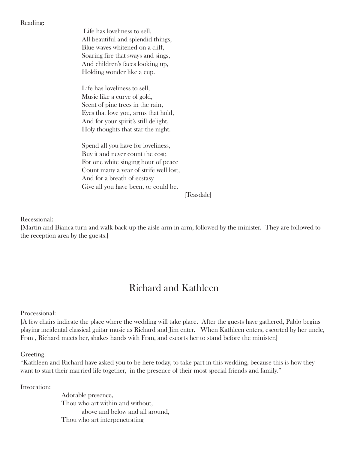Reading:

 Life has loveliness to sell, All beautiful and splendid things, Blue waves whitened on a cliff, Soaring fire that sways and sings, And children's faces looking up, Holding wonder like a cup.

 Life has loveliness to sell, Music like a curve of gold, Scent of pine trees in the rain, Eyes that love you, arms that hold, And for your spirit's still delight, Holy thoughts that star the night.

 Spend all you have for loveliness, Buy it and never count the cost; For one white singing hour of peace Count many a year of strife well lost, And for a breath of ecstasy Give all you have been, or could be.

[Teasdale]

Recessional:

[Martin and Bianca turn and walk back up the aisle arm in arm, followed by the minister. They are followed to the reception area by the guests.]

## Richard and Kathleen

Processional:

[A few chairs indicate the place where the wedding will take place. After the guests have gathered, Pablo begins playing incidental classical guitar music as Richard and Jim enter. When Kathleen enters, escorted by her uncle, Fran , Richard meets her, shakes hands with Fran, and escorts her to stand before the minister.]

Greeting:

"Kathleen and Richard have asked you to be here today, to take part in this wedding, because this is how they want to start their married life together, in the presence of their most special friends and family."

Invocation:

 Adorable presence, Thou who art within and without, above and below and all around, Thou who art interpenetrating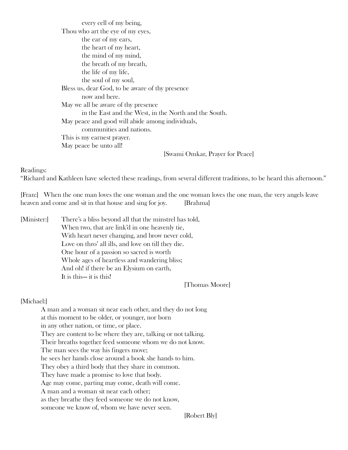every cell of my being, Thou who art the eye of my eyes, the ear of my ears, the heart of my heart, the mind of my mind, the breath of my breath, the life of my life, the soul of my soul, Bless us, dear God, to be aware of thy presence now and here. May we all be aware of thy presence in the East and the West, in the North and the South. May peace and good will abide among individuals, communities and nations. This is my earnest prayer. May peace be unto all!

[Swami Omkar, Prayer for Peace]

#### Readings:

"Richard and Kathleen have selected these readings, from several different traditions, to be heard this afternoon."

[Fran:] When the one man loves the one woman and the one woman loves the one man, the very angels leave heaven and come and sit in that house and sing for joy. [Brahma]

[Minister:] There's a bliss beyond all that the minstrel has told, When two, that are link'd in one heavenly tie, With heart never changing, and brow never cold, Love on thro' all ills, and love on till they die. One hour of a passion so sacred is worth Whole ages of heartless and wandering bliss; And oh! if there be an Elysium on earth, It is this— it is this!

[Thomas Moore]

#### [Michael:]

 A man and a woman sit near each other, and they do not long at this moment to be older, or younger, nor born in any other nation, or time, or place. They are content to be where they are, talking or not talking. Their breaths together feed someone whom we do not know. The man sees the way his fingers move; he sees her hands close around a book she hands to him. They obey a third body that they share in common. They have made a promise to love that body. Age may come, parting may come, death will come. A man and a woman sit near each other; as they breathe they feed someone we do not know, someone we know of, whom we have never seen.

[Robert Bly]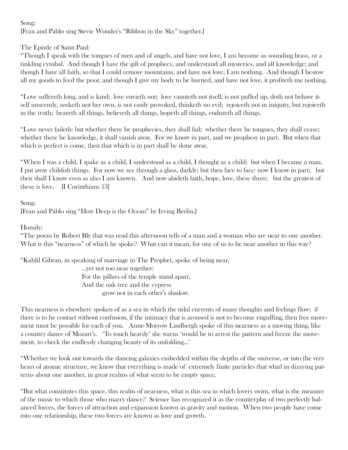#### Song: [Fran and Pablo sing Stevie Wonder's "Ribbon in the Sky" together.]

The Epistle of Saint Paul:

"Though I speak with the tongues of men and of angels, and have not love, I am become as sounding brass, or a tinkling cymbal. And though I have the gift of prophecy, and understand all mysteries, and all knowledge; and though I have all faith, so that I could remove mountains, and have not love, I am nothing. And though I bestow all my goods to feed the poor, and though I give my body to be burned, and have not love, it profiteth me nothing.

"Love suffereth long, and is kind; love envieth not; love vaunteth not itself, is not puffed up, doth not behave itself unseemly, seeketh not her own, is not easily provoked, thinketh no evil; rejoiceth not in iniquity, but rejoiceth in the truth; beareth all things, believeth all things, hopeth all things, endureth all things.

"Love never faileth: but whether there be prophecies, they shall fail; whether there be tongues, they shall cease; whether there be knowledge, it shall vanish away. For we know in part, and we prophesy in part. But when that which is perfect is come, then that which is in part shall be done away.

"When I was a child, I spake as a child, I understood as a child, I thought as a child: but when I became a man, I put away childish things. For now we see through a glass, darkly; but then face to face: now I know in part; but then shall I know even as also I am known. And now abideth faith, hope, love, these three; but the greatest of these is love. [I Corinthians 13]

## Song:

[Fran and Pablo sing "How Deep is the Ocean" by Irving Berlin.]

Homily:

"The poem by Robert Bly that was read this afternoon tells of a man and a woman who are near to one another. What is this "nearness" of which he spoke? What can it mean, for one of us to be near another in this way?

"Kahlil Gibran, in speaking of marriage in The Prophet, spoke of being near, ...yet not too near together: For the pillars of the temple stand apart, And the oak tree and the cypress grow not in each other's shadow.

This nearness is elsewhere spoken of as a sea in which the tidal currents of many thoughts and feelings flow; if there is to be contact without confusion, if the intimacy that is aroused is not to become engulfing, then free movement must be possible for each of you. Anne Morrow Lindbergh spoke of this nearness as a moving thing, like a country dance of Mozart's. 'To touch heavily' she warns 'would be to arrest the pattern and freeze the movement, to check the endlessly changing beauty of its unfolding...'

"Whether we look out towards the dancing galaxies embedded within the depths of the universe, or into the very heart of atomic structure, we know that everything is made of extremely finite particles that whirl in dizzying patterns about one another, in great realms of what seem to be empty space.

"But what constitutes this space, this realm of nearness, what is this sea in which lovers swim, what is the measure of the music to which those who marry dance? Science has recognized it as the counterplay of two perfectly balanced forces, the forces of attraction and expansion known as gravity and motion. When two people have come into one relationship, these two forces are known as love and growth.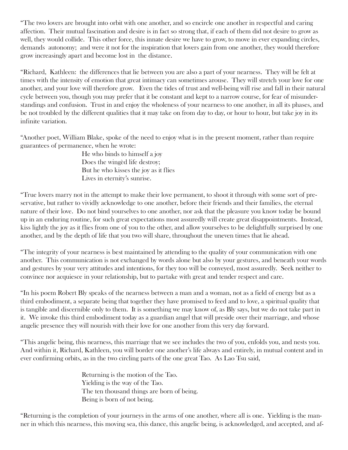"The two lovers are brought into orbit with one another, and so encircle one another in respectful and caring affection. Their mutual fascination and desire is in fact so strong that, if each of them did not desire to grow as well, they would collide. This other force, this innate desire we have to grow, to move in ever expanding circles, demands autonomy; and were it not for the inspiration that lovers gain from one another, they would therefore grow increasingly apart and become lost in the distance.

"Richard, Kathleen: the differences that lie between you are also a part of your nearness. They will be felt at times with the intensity of emotion that great intimacy can sometimes arouse. They will stretch your love for one another, and your love will therefore grow. Even the tides of trust and well-being will rise and fall in their natural cycle between you, though you may prefer that it be constant and kept to a narrow course, for fear of misunderstandings and confusion. Trust in and enjoy the wholeness of your nearness to one another, in all its phases, and be not troubled by the different qualities that it may take on from day to day, or hour to hour, but take joy in its infinite variation.

"Another poet, William Blake, spoke of the need to enjoy what is in the present moment, rather than require guarantees of permanence, when he wrote:

 He who binds to himself a joy Does the wingèd life destroy; But he who kisses the joy as it flies Lives in eternity's sunrise.

"True lovers marry not in the attempt to make their love permanent, to shoot it through with some sort of preservative, but rather to vividly acknowledge to one another, before their friends and their families, the eternal nature of their love. Do not bind yourselves to one another, nor ask that the pleasure you know today be bound up in an enduring routine, for such great expectations most assuredly will create great disappointments. Instead, kiss lightly the joy as it flies from one of you to the other, and allow yourselves to be delightfully surprised by one another, and by the depth of life that you two will share, throughout the uneven times that lie ahead.

"The integrity of your nearness is best maintained by attending to the quality of your communication with one another. This communication is not exchanged by words alone but also by your gestures, and beneath your words and gestures by your very attitudes and intentions, for they too will be conveyed, most assuredly. Seek neither to convince nor acquiesce in your relationship, but to partake with great and tender respect and care.

"In his poem Robert Bly speaks of the nearness between a man and a woman, not as a field of energy but as a third embodiment, a separate being that together they have promised to feed and to love, a spiritual quality that is tangible and discernible only to them. It is something we may know of, as Bly says, but we do not take part in it. We invoke this third embodiment today as a guardian angel that will preside over their marriage, and whose angelic presence they will nourish with their love for one another from this very day forward.

"This angelic being, this nearness, this marriage that we see includes the two of you, enfolds you, and nests you. And within it, Richard, Kathleen, you will border one another's life always and entirely, in mutual content and in ever confirming orbits, as in the two circling parts of the one great Tao. As Lao Tsu said,

> Returning is the motion of the Tao. Yielding is the way of the Tao. The ten thousand things are born of being. Being is born of not being.

"Returning is the completion of your journeys in the arms of one another, where all is one. Yielding is the manner in which this nearness, this moving sea, this dance, this angelic being, is acknowledged, and accepted, and af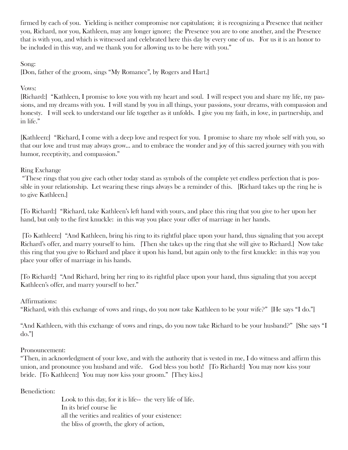firmed by each of you. Yielding is neither compromise nor capitulation; it is recognizing a Presence that neither you, Richard, nor you, Kathleen, may any longer ignore; the Presence you are to one another, and the Presence that is with you, and which is witnessed and celebrated here this day by every one of us. For us it is an honor to be included in this way, and we thank you for allowing us to be here with you."

#### Song:

[Don, father of the groom, sings "My Romance", by Rogers and Hart.]

## Vows:

[Richard:] "Kathleen, I promise to love you with my heart and soul. I will respect you and share my life, my passions, and my dreams with you. I will stand by you in all things, your passions, your dreams, with compassion and honesty. I will seek to understand our life together as it unfolds. I give you my faith, in love, in partnership, and in life."

[Kathleen:] "Richard, I come with a deep love and respect for you. I promise to share my whole self with you, so that our love and trust may always grow... and to embrace the wonder and joy of this sacred journey with you with humor, receptivity, and compassion."

## Ring Exchange

 "These rings that you give each other today stand as symbols of the complete yet endless perfection that is possible in your relationship. Let wearing these rings always be a reminder of this. [Richard takes up the ring he is to give Kathleen.]

[To Richard:] "Richard, take Kathleen's left hand with yours, and place this ring that you give to her upon her hand, but only to the first knuckle: in this way you place your offer of marriage in her hands.

 [To Kathleen:] "And Kathleen, bring his ring to its rightful place upon your hand, thus signaling that you accept Richard's offer, and marry yourself to him. [Then she takes up the ring that she will give to Richard.] Now take this ring that you give to Richard and place it upon his hand, but again only to the first knuckle: in this way you place your offer of marriage in his hands.

[To Richard:] "And Richard, bring her ring to its rightful place upon your hand, thus signaling that you accept Kathleen's offer, and marry yourself to her."

## Affirmations:

"Richard, with this exchange of vows and rings, do you now take Kathleen to be your wife?" [He says "I do."]

"And Kathleen, with this exchange of vows and rings, do you now take Richard to be your husband?" [She says "I do."]

## Pronouncement:

"Then, in acknowledgment of your love, and with the authority that is vested in me, I do witness and affirm this union, and pronounce you husband and wife. God bless you both! [To Richard:] You may now kiss your bride. [To Kathleen:] You may now kiss your groom." [They kiss.]

Benediction:

Look to this day, for it is life-- the very life of life. In its brief course lie all the verities and realities of your existence: the bliss of growth, the glory of action,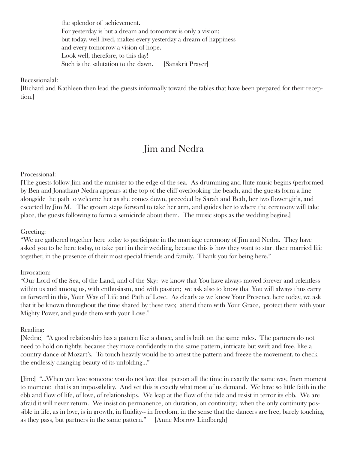the splendor of achievement. For yesterday is but a dream and tomorrow is only a vision; but today, well lived, makes every yesterday a dream of happiness and every tomorrow a vision of hope. Look well, therefore, to this day! Such is the salutation to the dawn. [Sanskrit Prayer]

#### Recessionalal:

[Richard and Kathleen then lead the guests informally toward the tables that have been prepared for their reception.]

## Jim and Nedra

Processional:

[The guests follow Jim and the minister to the edge of the sea. As drumming and flute music begins (performed by Ben and Jonathan) Nedra appears at the top of the cliff overlooking the beach, and the guests form a line alongside the path to welcome her as she comes down, preceded by Sarah and Beth, her two flower girls, and escorted by Jim M. The groom steps forward to take her arm, and guides her to where the ceremony will take place, the guests following to form a semicircle about them. The music stops as the wedding begins.]

#### Greeting:

"We are gathered together here today to participate in the marriage ceremony of Jim and Nedra. They have asked you to be here today, to take part in their wedding, because this is how they want to start their married life together, in the presence of their most special friends and family. Thank you for being here."

#### Invocation:

"Our Lord of the Sea, of the Land, and of the Sky: we know that You have always moved forever and relentless within us and among us, with enthusiasm, and with passion; we ask also to know that You will always thus carry us forward in this, Your Way of Life and Path of Love. As clearly as we know Your Presence here today, we ask that it be known throughout the time shared by these two; attend them with Your Grace, protect them with your Mighty Power, and guide them with your Love."

#### Reading:

[Nedra:] "A good relationship has a pattern like a dance, and is built on the same rules. The partners do not need to hold on tightly, because they move confidently in the same pattern, intricate but swift and free, like a country dance of Mozart's. To touch heavily would be to arrest the pattern and freeze the movement, to check the endlessly changing beauty of its unfolding..."

[Jim:] "...When you love someone you do not love that person all the time in exactly the same way, from moment to moment; that is an impossibility. And yet this is exactly what most of us demand. We have so little faith in the ebb and flow of life, of love, of relationships. We leap at the flow of the tide and resist in terror its ebb. We are afraid it will never return. We insist on permanence, on duration, on continuity; when the only continuity possible in life, as in love, is in growth, in fluidity-- in freedom, in the sense that the dancers are free, barely touching as they pass, but partners in the same pattern." [Anne Morrow Lindbergh]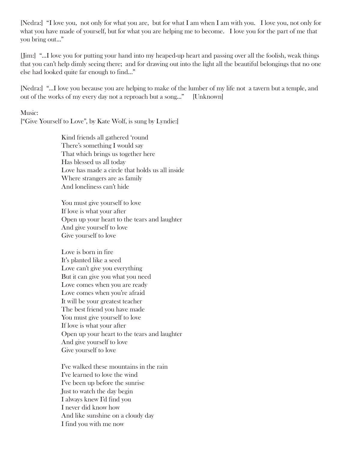[Nedra:] "I love you, not only for what you are, but for what I am when I am with you. I love you, not only for what you have made of yourself, but for what you are helping me to become. I love you for the part of me that you bring out..."

[Jim:] "...I love you for putting your hand into my heaped-up heart and passing over all the foolish, weak things that you can't help dimly seeing there; and for drawing out into the light all the beautiful belongings that no one else had looked quite far enough to find..."

[Nedra:] "...I love you because you are helping to make of the lumber of my life not a tavern but a temple, and out of the works of my every day not a reproach but a song..." [Unknown]

Music:

["Give Yourself to Love", by Kate Wolf, is sung by Lyndie:]

Kind friends all gathered 'round There's something I would say That which brings us together here Has blessed us all today Love has made a circle that holds us all inside Where strangers are as family And loneliness can't hide

You must give yourself to love If love is what your after Open up your heart to the tears and laughter And give yourself to love Give yourself to love

Love is born in fire It's planted like a seed Love can't give you everything But it can give you what you need Love comes when you are ready Love comes when you're afraid It will be your greatest teacher The best friend you have made You must give yourself to love If love is what your after Open up your heart to the tears and laughter And give yourself to love Give yourself to love

I've walked these mountains in the rain I've learned to love the wind I've been up before the sunrise Just to watch the day begin I always knew I'd find you I never did know how And like sunshine on a cloudy day I find you with me now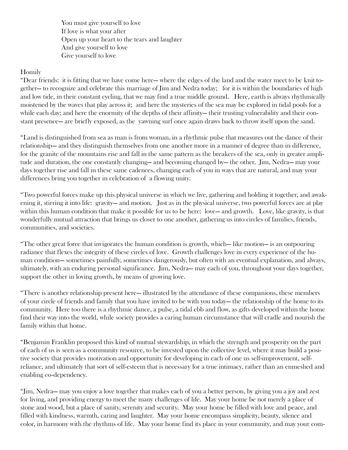You must give yourself to love If love is what your after Open up your heart to the tears and laughter And give yourself to love Give yourself to love

#### Homily

"Dear friends: it is fitting that we have come here— where the edges of the land and the water meet to be knit together— to recognize and celebrate this marriage of Jim and Nedra today; for it is within the boundaries of high and low tide, in their constant cycling, that we may find a true middle ground. Here, earth is always rhythmically moistened by the waves that play across it; and here the mysteries of the sea may be explored in tidal pools for a while each day; and here the enormity of the depths of their affinity— their trusting vulnerability and their constant presence— are briefly exposed, as the yawning surf once again draws back to throw itself upon the sand.

"Land is distinguished from sea as man is from woman, in a rhythmic pulse that measures out the dance of their relationship— and they distinguish themselves from one another more in a manner of degree than in difference, for the granite of the mountains rise and fall in the same pattern as the breakers of the sea, only in greater amplitude and duration, the one constantly changing— and becoming changed by— the other. Jim, Nedra— may your days together rise and fall in these same cadences, changing each of you in ways that are natural, and may your differences bring you together in celebration of a flowing unity.

"Two powerful forces make up this physical universe in which we live, gathering and holding it together, and awakening it, stirring it into life: gravity— and motion. Just as in the physical universe, two powerful forces are at play within this human condition that make it possible for us to be here: love— and growth. Love, like gravity, is that wonderfully mutual attraction that brings us closer to one another, gathering us into circles of families, friends, communities, and societies.

"The other great force that invigorates the human condition is growth, which— like motion— is an outpouring radiance that flexes the integrity of these circles of love. Growth challenges love in every experience of the human condition— sometimes painfully, sometimes dangerously, but often with an eventual explanation, and always, ultimately, with an enduring personal significance. Jim, Nedra— may each of you, throughout your days together, support the other in loving growth, by means of growing love.

"There is another relationship present here— illustrated by the attendance of these companions, these members of your circle of friends and family that you have invited to be with you today— the relationship of the home to its community. Here too there is a rhythmic dance, a pulse, a tidal ebb and flow, as gifts developed within the home find their way into the world, while society provides a caring human circumstance that will cradle and nourish the family within that home.

"Benjamin Franklin proposed this kind of mutual stewardship, in which the strength and prosperity on the part of each of us is seen as a community resource, to be invested upon the collective level, where it may build a positive society that provides motivation and opportunity for developing in each of one us self-improvement, selfreliance, and ultimately that sort of self-esteem that is necessary for a true intimacy, rather than an enmeshed and enabling co-dependency.

"Jim, Nedra— may you enjoy a love together that makes each of you a better person, by giving you a joy and zest for living, and providing energy to meet the many challenges of life. May your home be not merely a place of stone and wood, but a place of sanity, serenity and security. May your home be filled with love and peace, and filled with kindness, warmth, caring and laughter. May your home encompass simplicity, beauty, silence and color, in harmony with the rhythms of life. May your home find its place in your community, and may your com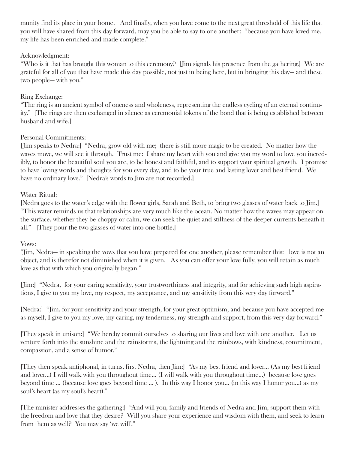munity find its place in your home. And finally, when you have come to the next great threshold of this life that you will have shared from this day forward, may you be able to say to one another: "because you have loved me, my life has been enriched and made complete."

### Acknowledgment:

"Who is it that has brought this woman to this ceremony? [Jim signals his presence from the gathering.] We are grateful for all of you that have made this day possible, not just in being here, but in bringing this day— and these two people— with you."

#### Ring Exchange:

"The ring is an ancient symbol of oneness and wholeness, representing the endless cycling of an eternal continuity." [The rings are then exchanged in silence as ceremonial tokens of the bond that is being established between husband and wife.]

#### Personal Commitments:

[Jim speaks to Nedra:] "Nedra, grow old with me; there is still more magic to be created. No matter how the waves move, we will see it through. Trust me: I share my heart with you and give you my word to love you incredibly, to honor the beautiful soul you are, to be honest and faithful, and to support your spiritual growth. I promise to have loving words and thoughts for you every day, and to be your true and lasting lover and best friend. We have no ordinary love." [Nedra's words to Jim are not recorded.]

#### Water Ritual:

[Nedra goes to the water's edge with the flower girls, Sarah and Beth, to bring two glasses of water back to Jim.] "This water reminds us that relationships are very much like the ocean. No matter how the waves may appear on the surface, whether they be choppy or calm, we can seek the quiet and stillness of the deeper currents beneath it all." [They pour the two glasses of water into one bottle.]

#### Vows:

"Jim, Nedra— in speaking the vows that you have prepared for one another, please remember this: love is not an object, and is therefor not diminished when it is given. As you can offer your love fully, you will retain as much love as that with which you originally began."

[Jim:] "Nedra, for your caring sensitivity, your trustworthiness and integrity, and for achieving such high aspirations, I give to you my love, my respect, my acceptance, and my sensitivity from this very day forward."

[Nedra:] "Jim, for your sensitivity and your strength, for your great optimism, and because you have accepted me as myself, I give to you my love, my caring, my tenderness, my strength and support, from this very day forward."

[They speak in unison:] "We hereby commit ourselves to sharing our lives and love with one another. Let us venture forth into the sunshine and the rainstorms, the lightning and the rainbows, with kindness, commitment, compassion, and a sense of humor."

[They then speak antiphonal, in turns, first Nedra, then Jim:] "As my best friend and lover... (As my best friend and lover...) I will walk with you throughout time... (I will walk with you throughout time...) because love goes beyond time ... (because love goes beyond time ... ). In this way I honor you... (in this way I honor you...) as my soul's heart (as my soul's heart)."

[The minister addresses the gathering:] "And will you, family and friends of Nedra and Jim, support them with the freedom and love that they desire? Will you share your experience and wisdom with them, and seek to learn from them as well? You may say 'we will'."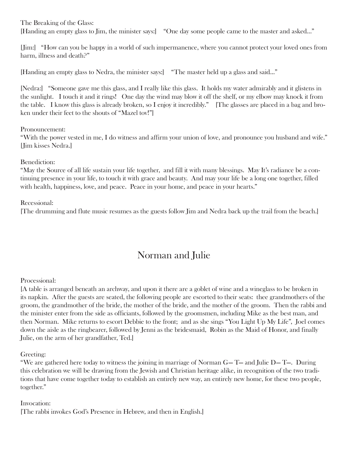The Breaking of the Glass: [Handing an empty glass to Jim, the minister says:] "One day some people came to the master and asked..."

[Jim:] "How can you be happy in a world of such impermanence, where you cannot protect your loved ones from harm, illness and death?"

[Handing an empty glass to Nedra, the minister says:] "The master held up a glass and said..."

[Nedra:] "Someone gave me this glass, and I really like this glass. It holds my water admirably and it glistens in the sunlight. I touch it and it rings! One day the wind may blow it off the shelf, or my elbow may knock it from the table. I know this glass is already broken, so I enjoy it incredibly." [The glasses are placed in a bag and broken under their feet to the shouts of "Mazel tov!"]

#### Pronouncement:

"With the power vested in me, I do witness and affirm your union of love, and pronounce you husband and wife." [Jim kisses Nedra.]

#### Benediction:

"May the Source of all life sustain your life together, and fill it with many blessings. May It's radiance be a continuing presence in your life, to touch it with grace and beauty. And may your life be a long one together, filled with health, happiness, love, and peace. Peace in your home, and peace in your hearts."

#### Recessional:

[The drumming and flute music resumes as the guests follow Jim and Nedra back up the trail from the beach.]

## Norman and Julie

#### Processional:

[A table is arranged beneath an archway, and upon it there are a goblet of wine and a wineglass to be broken in its napkin. After the guests are seated, the following people are escorted to their seats: thee grandmothers of the groom, the grandmother of the bride, the mother of the bride, and the mother of the groom. Then the rabbi and the minister enter from the side as officiants, followed by the groomsmen, including Mike as the best man, and then Norman. Mike returns to escort Debbie to the front; and as she sings "You Light Up My Life", Joel comes down the aisle as the ringbearer, followed by Jenni as the bridesmaid, Robin as the Maid of Honor, and finally Julie, on the arm of her grandfather, Ted.]

#### Greeting:

"We are gathered here today to witness the joining in marriage of Norman  $G-T-$  and Julie  $D-T-$ . During this celebration we will be drawing from the Jewish and Christian heritage alike, in recognition of the two traditions that have come together today to establish an entirely new way, an entirely new home, for these two people, together."

#### Invocation:

[The rabbi invokes God's Presence in Hebrew, and then in English.]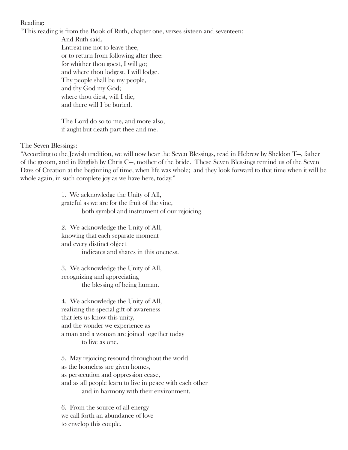#### Reading:

"This reading is from the Book of Ruth, chapter one, verses sixteen and seventeen:

And Ruth said, Entreat me not to leave thee, or to return from following after thee: for whither thou goest, I will go; and where thou lodgest, I will lodge. Thy people shall be my people, and thy God my God; where thou diest, will I die, and there will I be buried.

The Lord do so to me, and more also, if aught but death part thee and me.

#### The Seven Blessings:

"According to the Jewish tradition, we will now hear the Seven Blessings, read in Hebrew by Sheldon T—, father of the groom, and in English by Chris C—, mother of the bride. These Seven Blessings remind us of the Seven Days of Creation at the beginning of time, when life was whole; and they look forward to that time when it will be whole again, in such complete joy as we have here, today."

> 1. We acknowledge the Unity of All, grateful as we are for the fruit of the vine, both symbol and instrument of our rejoicing.

2. We acknowledge the Unity of All, knowing that each separate moment and every distinct object indicates and shares in this oneness.

3. We acknowledge the Unity of All, recognizing and appreciating the blessing of being human.

4. We acknowledge the Unity of All, realizing the special gift of awareness that lets us know this unity, and the wonder we experience as a man and a woman are joined together today to live as one.

5. May rejoicing resound throughout the world as the homeless are given homes, as persecution and oppression cease, and as all people learn to live in peace with each other and in harmony with their environment.

6. From the source of all energy we call forth an abundance of love to envelop this couple.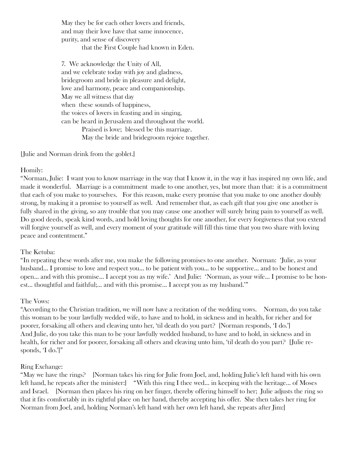May they be for each other lovers and friends, and may their love have that same innocence, purity, and sense of discovery that the First Couple had known in Eden.

7. We acknowledge the Unity of All, and we celebrate today with joy and gladness, bridegroom and bride in pleasure and delight, love and harmony, peace and companionship. May we all witness that day when these sounds of happiness, the voices of lovers in feasting and in singing, can be heard in Jerusalem and throughout the world. Praised is love; blessed be this marriage. May the bride and bridegroom rejoice together.

[Julie and Norman drink from the goblet.]

#### Homily:

"Norman, Julie: I want you to know marriage in the way that I know it, in the way it has inspired my own life, and made it wonderful. Marriage is a commitment made to one another, yes, but more than that: it is a commitment that each of you make to yourselves. For this reason, make every promise that you make to one another doubly strong, by making it a promise to yourself as well. And remember that, as each gift that you give one another is fully shared in the giving, so any trouble that you may cause one another will surely bring pain to yourself as well. Do good deeds, speak kind words, and hold loving thoughts for one another, for every forgiveness that you extend will forgive yourself as well, and every moment of your gratitude will fill this time that you two share with loving peace and contentment."

#### The Ketuba:

"In repeating these words after me, you make the following promises to one another. Norman: 'Julie, as your husband... I promise to love and respect you... to be patient with you... to be supportive... and to be honest and open... and with this promise... I accept you as my wife.' And Julie: 'Norman, as your wife... I promise to be honest... thoughtful and faithful;... and with this promise... I accept you as my husband.'"

#### The Vows:

"According to the Christian tradition, we will now have a recitation of the wedding vows. Norman, do you take this woman to be your lawfully wedded wife, to have and to hold, in sickness and in health, for richer and for poorer, forsaking all others and cleaving unto her, 'til death do you part? [Norman responds, 'I do.'] And Julie, do you take this man to be your lawfully wedded husband, to have and to hold, in sickness and in health, for richer and for poorer, forsaking all others and cleaving unto him, 'til death do you part? [Julie responds, 'I do.']"

#### Ring Exchange:

"May we have the rings? [Norman takes his ring for Julie from Joel, and, holding Julie's left hand with his own left hand, he repeats after the minister:] "With this ring I thee wed... in keeping with the heritage... of Moses and Israel. [Norman then places his ring on her finger, thereby offering himself to her; Julie adjusts the ring so that it fits comfortably in its rightful place on her hand, thereby accepting his offer. She then takes her ring for Norman from Joel, and, holding Norman's left hand with her own left hand, she repeats after Jim:]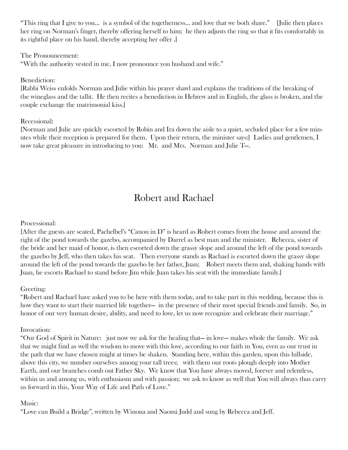"This ring that I give to you... is a symbol of the togetherness... and love that we both share." [Julie then places her ring on Norman's finger, thereby offering herself to him; he then adjusts the ring so that it fits comfortably in its rightful place on his hand, thereby accepting her offer .]

The Pronouncement:

"With the authority vested in me, I now pronounce you husband and wife."

#### Benediction:

[Rabbi Weiss enfolds Norman and Julie within his prayer shawl and explains the traditions of the breaking of the wineglass and the tallit. He then recites a benediction in Hebrew and in English, the glass is broken, and the couple exchange the matrimonial kiss.]

#### Recessional:

[Norman and Julie are quickly escorted by Robin and Ira down the aisle to a quiet, secluded place for a few minutes while their reception is prepared for them. Upon their return, the minister says:] Ladies and gentlemen, I now take great pleasure in introducing to you: Mr. and Mrs. Norman and Julie T—.

## Robert and Rachael

### Processional:

[After the guests are seated, Pachelbel's "Canon in D" is heard as Robert comes from the house and around the right of the pond towards the gazebo, accompanied by Darrel as best man and the minister. Rebecca, sister of the bride and her maid of honor, is then escorted down the grassy slope and around the left of the pond towards the gazebo by Jeff, who then takes his seat. Then everyone stands as Rachael is escorted down the grassy slope around the left of the pond towards the gazebo by her father, Juan; Robert meets them and, shaking hands with Juan, he escorts Rachael to stand before Jim while Juan takes his seat with the immediate family.]

## Greeting:

"Robert and Rachael have asked you to be here with them today, and to take part in this wedding, because this is how they want to start their married life together— in the presence of their most special friends and family. So, in honor of our very human desire, ability, and need to love, let us now recognize and celebrate their marriage."

#### Invocation:

"Our God of Spirit in Nature: just now we ask for the healing that— in love— makes whole the family. We ask that we might find as well the wisdom to move with this love, according to our faith in You, even as our trust in the path that we have chosen might at times be shaken. Standing here, within this garden, upon this hillside, above this city, we number ourselves among your tall trees; with them our roots plough deeply into Mother Earth, and our branches comb out Father Sky. We know that You have always moved, forever and relentless, within us and among us, with enthusiasm and with passion; we ask to know as well that You will always thus carry us forward in this, Your Way of Life and Path of Love."

#### Music:

"Love can Build a Bridge", written by Winona and Naomi Judd and sung by Rebecca and Jeff.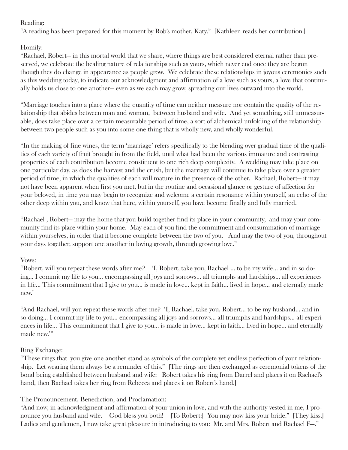#### Reading:

"A reading has been prepared for this moment by Rob's mother, Katy." [Kathleen reads her contribution.]

## Homily:

"Rachael, Robert— in this mortal world that we share, where things are best considered eternal rather than preserved, we celebrate the healing nature of relationships such as yours, which never end once they are begun though they do change in appearance as people grow. We celebrate these relationships in joyous ceremonies such as this wedding today, to indicate our acknowledgment and affirmation of a love such as yours, a love that continually holds us close to one another— even as we each may grow, spreading our lives outward into the world.

"Marriage touches into a place where the quantity of time can neither measure nor contain the quality of the relationship that abides between man and woman, between husband and wife. And yet something, still unmeasurable, does take place over a certain measurable period of time, a sort of alchemical unfolding of the relationship between two people such as you into some one thing that is wholly new, and wholly wonderful.

"In the making of fine wines, the term 'marriage' refers specifically to the blending over gradual time of the qualities of each variety of fruit brought in from the field, until what had been the various immature and contrasting properties of each contribution become constituent to one rich deep complexity. A wedding may take place on one particular day, as does the harvest and the crush, but the marriage will continue to take place over a greater period of time, in which the qualities of each will mature in the presence of the other. Rachael, Robert— it may not have been apparent when first you met, but in the routine and occasional glance or gesture of affection for your beloved, in time you may begin to recognize and welcome a certain resonance within yourself, an echo of the other deep within you, and know that here, within yourself, you have become finally and fully married.

"Rachael , Robert— may the home that you build together find its place in your community, and may your community find its place within your home. May each of you find the commitment and consummation of marriage within yourselves, in order that it become complete between the two of you. And may the two of you, throughout your days together, support one another in loving growth, through growing love."

## Vows:

"Robert, will you repeat these words after me? 'I, Robert, take you, Rachael ... to be my wife... and in so doing... I commit my life to you... encompassing all joys and sorrows... all triumphs and hardships... all experiences in life... This commitment that I give to you... is made in love... kept in faith... lived in hope... and eternally made new.'

"And Rachael, will you repeat these words after me? 'I, Rachael, take you, Robert... to be my husband... and in so doing... I commit my life to you... encompassing all joys and sorrows... all triumphs and hardships... all experiences in life... This commitment that I give to you... is made in love... kept in faith... lived in hope... and eternally made new.'"

## Ring Exchange:

"These rings that you give one another stand as symbols of the complete yet endless perfection of your relationship. Let wearing them always be a reminder of this." [The rings are then exchanged as ceremonial tokens of the bond being established between husband and wife: Robert takes his ring from Darrel and places it on Rachael's hand, then Rachael takes her ring from Rebecca and places it on Robert's hand.]

## The Pronouncement, Benediction, and Proclamation:

"And now, in acknowledgment and affirmation of your union in love, and with the authority vested in me, I pronounce you husband and wife. God bless you both! [To Robert:] You may now kiss your bride." [They kiss.] Ladies and gentlemen, I now take great pleasure in introducing to you: Mr. and Mrs. Robert and Rachael F—."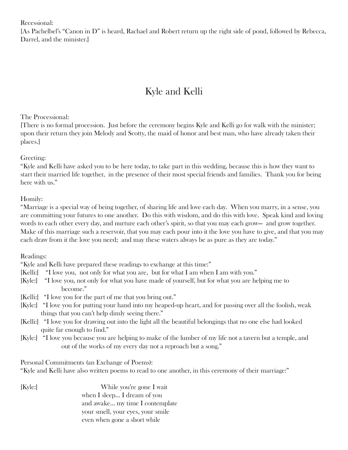Recessional:

[As Pachelbel's "Canon in D" is heard, Rachael and Robert return up the right side of pond, followed by Rebecca, Darrel, and the minister.]

# Kyle and Kelli

#### The Processional:

[There is no formal procession. Just before the ceremony begins Kyle and Kelli go for walk with the minister; upon their return they join Melody and Scotty, the maid of honor and best man, who have already taken their places.]

## Greeting:

"Kyle and Kelli have asked you to be here today, to take part in this wedding, because this is how they want to start their married life together, in the presence of their most special friends and families. Thank you for being here with us."

## Homily:

"Marriage is a special way of being together, of sharing life and love each day. When you marry, in a sense, you are committing your futures to one another. Do this with wisdom, and do this with love. Speak kind and loving words to each other every day, and nurture each other's spirit, so that you may each grow— and grow together. Make of this marriage such a reservoir, that you may each pour into it the love you have to give, and that you may each draw from it the love you need; and may these waters always be as pure as they are today."

## Readings:

"Kyle and Kelli have prepared these readings to exchange at this time:"

- [Kelli:] "I love you, not only for what you are, but for what I am when I am with you."
- [Kyle:] "I love you, not only for what you have made of yourself, but for what you are helping me to become."
- [Kelli:] "I love you for the part of me that you bring out."
- [Kyle:] "I love you for putting your hand into my heaped-up heart, and for passing over all the foolish, weak things that you can't help dimly seeing there."
- [Kelli:] "I love you for drawing out into the light all the beautiful belongings that no one else had looked quite far enough to find."
- [Kyle:] "I love you because you are helping to make of the lumber of my life not a tavern but a temple, and out of the works of my every day not a reproach but a song."

Personal Commitments (an Exchange of Poems):

"Kyle and Kelli have also written poems to read to one another, in this ceremony of their marriage:"

[Kyle:] While you're gone I wait when I sleep... I dream of you and awake... my time I contemplate your smell, your eyes, your smile even when gone a short while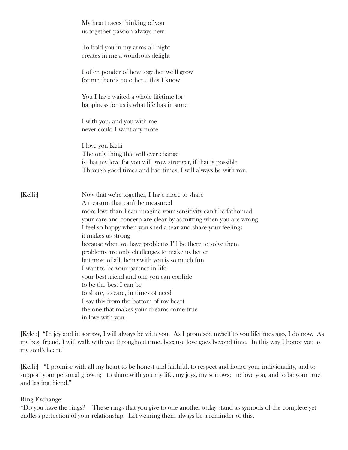|          | My heart races thinking of you<br>us together passion always new                                                                                                                                                                                                                                                                                                                                                                                                                                                                                                                                                                                                                                                                              |
|----------|-----------------------------------------------------------------------------------------------------------------------------------------------------------------------------------------------------------------------------------------------------------------------------------------------------------------------------------------------------------------------------------------------------------------------------------------------------------------------------------------------------------------------------------------------------------------------------------------------------------------------------------------------------------------------------------------------------------------------------------------------|
|          | To hold you in my arms all night<br>creates in me a wondrous delight                                                                                                                                                                                                                                                                                                                                                                                                                                                                                                                                                                                                                                                                          |
|          | I often ponder of how together we'll grow<br>for me there's no other this I know                                                                                                                                                                                                                                                                                                                                                                                                                                                                                                                                                                                                                                                              |
|          | You I have waited a whole lifetime for<br>happiness for us is what life has in store                                                                                                                                                                                                                                                                                                                                                                                                                                                                                                                                                                                                                                                          |
|          | I with you, and you with me<br>never could I want any more.                                                                                                                                                                                                                                                                                                                                                                                                                                                                                                                                                                                                                                                                                   |
|          | I love you Kelli<br>The only thing that will ever change<br>is that my love for you will grow stronger, if that is possible<br>Through good times and bad times, I will always be with you.                                                                                                                                                                                                                                                                                                                                                                                                                                                                                                                                                   |
| [Kelli:] | Now that we're together, I have more to share<br>A treasure that can't be measured<br>more love than I can imagine your sensitivity can't be fathomed<br>your care and concern are clear by admitting when you are wrong<br>I feel so happy when you shed a tear and share your feelings<br>it makes us strong<br>because when we have problems I'll be there to solve them<br>problems are only challenges to make us better<br>but most of all, being with you is so much fun<br>I want to be your partner in life<br>your best friend and one you can confide<br>to be the best I can be<br>to share, to care, in times of need<br>I say this from the bottom of my heart<br>the one that makes your dreams come true<br>in love with you. |

[Kyle :] "In joy and in sorrow, I will always be with you. As I promised myself to you lifetimes ago, I do now. As my best friend, I will walk with you throughout time, because love goes beyond time. In this way I honor you as my soul's heart."

[Kelli:] "I promise with all my heart to be honest and faithful, to respect and honor your individuality, and to support your personal growth; to share with you my life, my joys, my sorrows; to love you, and to be your true and lasting friend."

#### Ring Exchange:

"Do you have the rings? These rings that you give to one another today stand as symbols of the complete yet endless perfection of your relationship. Let wearing them always be a reminder of this.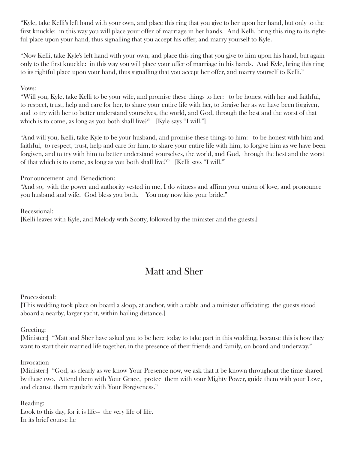"Kyle, take Kelli's left hand with your own, and place this ring that you give to her upon her hand, but only to the first knuckle: in this way you will place your offer of marriage in her hands. And Kelli, bring this ring to its rightful place upon your hand, thus signalling that you accept his offer, and marry yourself to Kyle.

"Now Kelli, take Kyle's left hand with your own, and place this ring that you give to him upon his hand, but again only to the first knuckle: in this way you will place your offer of marriage in his hands. And Kyle, bring this ring to its rightful place upon your hand, thus signalling that you accept her offer, and marry yourself to Kelli."

#### Vows:

"Will you, Kyle, take Kelli to be your wife, and promise these things to her: to be honest with her and faithful, to respect, trust, help and care for her, to share your entire life with her, to forgive her as we have been forgiven, and to try with her to better understand yourselves, the world, and God, through the best and the worst of that which is to come, as long as you both shall live?" [Kyle says "I will."]

"And will you, Kelli, take Kyle to be your husband, and promise these things to him: to be honest with him and faithful, to respect, trust, help and care for him, to share your entire life with him, to forgive him as we have been forgiven, and to try with him to better understand yourselves, the world, and God, through the best and the worst of that which is to come, as long as you both shall live?" [Kelli says "I will."]

#### Pronouncement and Benediction:

"And so, with the power and authority vested in me, I do witness and affirm your union of love, and pronounce you husband and wife. God bless you both. You may now kiss your bride."

Recessional: [Kelli leaves with Kyle, and Melody with Scotty, followed by the minister and the guests.]

## Matt and Sher

Processional:

[This wedding took place on board a sloop, at anchor, with a rabbi and a minister officiating; the guests stood aboard a nearby, larger yacht, within hailing distance.]

#### Greeting:

[Minister:] "Matt and Sher have asked you to be here today to take part in this wedding, because this is how they want to start their married life together, in the presence of their friends and family, on board and underway."

#### Invocation

[Minister:] "God, as clearly as we know Your Presence now, we ask that it be known throughout the time shared by these two. Attend them with Your Grace, protect them with your Mighty Power, guide them with your Love, and cleanse them regularly with Your Forgiveness."

Reading: Look to this day, for it is life-- the very life of life. In its brief course lie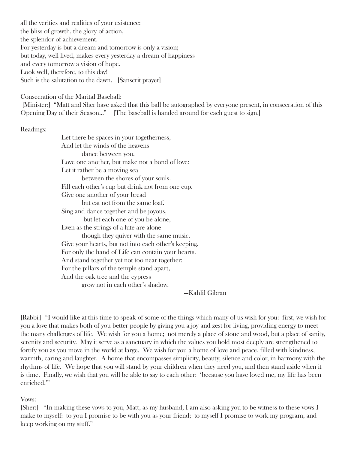all the verities and realities of your existence: the bliss of growth, the glory of action, the splendor of achievement. For yesterday is but a dream and tomorrow is only a vision; but today, well lived, makes every yesterday a dream of happiness and every tomorrow a vision of hope. Look well, therefore, to this day! Such is the salutation to the dawn. [Sanscrit prayer]

Consecration of the Marital Baseball:

 [Minister:] "Matt and Sher have asked that this ball be autographed by everyone present, in consecration of this Opening Day of their Season..." [The baseball is handed around for each guest to sign.]

#### Readings:

Let there be spaces in your togetherness, And let the winds of the heavens dance between you. Love one another, but make not a bond of love: Let it rather be a moving sea between the shores of your souls. Fill each other's cup but drink not from one cup. Give one another of your bread but eat not from the same loaf. Sing and dance together and be joyous, but let each one of you be alone, Even as the strings of a lute are alone though they quiver with the same music. Give your hearts, but not into each other's keeping. For only the hand of Life can contain your hearts. And stand together yet not too near together: For the pillars of the temple stand apart, And the oak tree and the cypress grow not in each other's shadow.

—Kahlil Gibran

[Rabbi:] "I would like at this time to speak of some of the things which many of us wish for you: first, we wish for you a love that makes both of you better people by giving you a joy and zest for living, providing energy to meet the many challenges of life. We wish for you a home; not merely a place of stone and wood, but a place of sanity, serenity and security. May it serve as a sanctuary in which the values you hold most deeply are strengthened to fortify you as you move in the world at large. We wish for you a home of love and peace, filled with kindness, warmth, caring and laughter. A home that encompasses simplicity, beauty, silence and color, in harmony with the rhythms of life. We hope that you will stand by your children when they need you, and then stand aside when it is time. Finally, we wish that you will be able to say to each other: 'because you have loved me, my life has been enriched.'"

#### Vows:

[Sher:] "In making these vows to you, Matt, as my husband, I am also asking you to be witness to these vows I make to myself: to you I promise to be with you as your friend; to myself I promise to work my program, and keep working on my stuff."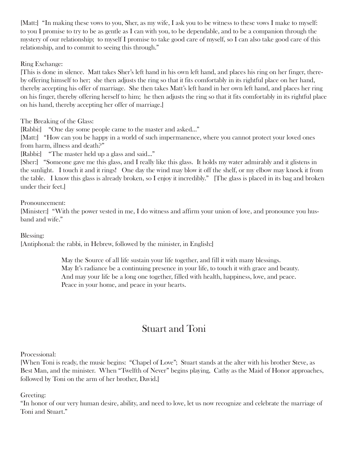[Matt:] "In making these vows to you, Sher, as my wife, I ask you to be witness to these vows I make to myself: to you I promise to try to be as gentle as I can with you, to be dependable, and to be a companion through the mystery of our relationship; to myself I promise to take good care of myself, so I can also take good care of this relationship, and to commit to seeing this through."

Ring Exchange:

[This is done in silence. Matt takes Sher's left hand in his own left hand, and places his ring on her finger, thereby offering himself to her; she then adjusts the ring so that it fits comfortably in its rightful place on her hand, thereby accepting his offer of marriage. She then takes Matt's left hand in her own left hand, and places her ring on his finger, thereby offering herself to him; he then adjusts the ring so that it fits comfortably in its rightful place on his hand, thereby accepting her offer of marriage.]

The Breaking of the Glass:

[Rabbi:] "One day some people came to the master and asked..."

[Matt:] "How can you be happy in a world of such impermanence, where you cannot protect your loved ones from harm, illness and death?"

[Rabbi:] "The master held up a glass and said..."

[Sher:] "Someone gave me this glass, and I really like this glass. It holds my water admirably and it glistens in the sunlight. I touch it and it rings! One day the wind may blow it off the shelf, or my elbow may knock it from the table. I know this glass is already broken, so I enjoy it incredibly." [The glass is placed in its bag and broken under their feet.]

Pronouncement:

[Minister:] "With the power vested in me, I do witness and affirm your union of love, and pronounce you husband and wife."

Blessing:

[Antiphonal: the rabbi, in Hebrew, followed by the minister, in English:]

 May the Source of all life sustain your life together, and fill it with many blessings. May It's radiance be a continuing presence in your life, to touch it with grace and beauty. And may your life be a long one together, filled with health, happiness, love, and peace. Peace in your home, and peace in your hearts.

## Stuart and Toni

Processional:

[When Toni is ready, the music begins: "Chapel of Love"; Stuart stands at the alter with his brother Steve, as Best Man, and the minister. When "Twelfth of Never" begins playing, Cathy as the Maid of Honor approaches, followed by Toni on the arm of her brother, David.]

Greeting:

"In honor of our very human desire, ability, and need to love, let us now recognize and celebrate the marriage of Toni and Stuart."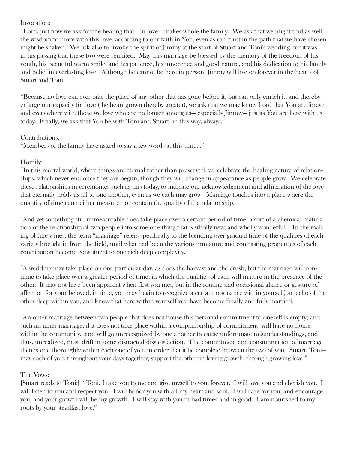#### Invocation:

"Lord, just now we ask for the healing that— in love— makes whole the family. We ask that we might find as well the wisdom to move with this love, according to our faith in You, even as our trust in the path that we have chosen might be shaken. We ask also to invoke the spirit of Jimmy at the start of Stuart and Toni's wedding, for it was in his passing that these two were reunited. May this marriage be blessed by the memory of the freedom of his youth, his beautiful warm smile, and his patience, his innocence and good nature, and his dedication to his family and belief in everlasting love. Although he cannot be here in person, Jimmy will live on forever in the hearts of Stuart and Toni.

"Because no love can ever take the place of any other that has gone before it, but can only enrich it, and thereby enlarge our capacity for love (the heart grown thereby greater), we ask that we may know Lord that You are forever and everywhere with those we love who are no longer among us— especially Jimmy— just as You are here with us today. Finally, we ask that You be with Toni and Stuart, in this way, always."

#### Contributions:

"Members of the family have asked to say a few words at this time..."

#### Homily:

"In this mortal world, where things are eternal rather than preserved, we celebrate the healing nature of relationships, which never end once they are begun, though they will change in appearance as people grow. We celebrate these relationships in ceremonies such as this today, to indicate our acknowledgement and affirmation of the love that eternally holds us all to one another, even as we each may grow. Marriage touches into a place where the quantity of time can neither measure nor contain the quality of the relationship.

"And yet something still unmeasurable does take place over a certain period of time, a sort of alchemical maturation of the relationship of two people into some one thing that is wholly new, and wholly wonderful. In the making of fine wines, the term "marriage" refers specifically to the blending over gradual time of the qualities of each variety brought in from the field, until what had been the various immature and contrasting properties of each contribution become constituent to one rich deep complexity.

"A wedding may take place on one particular day, as does the harvest and the crush, but the marriage will continue to take place over a greater period of time, in which the qualities of each will mature in the presence of the other. It may not have been apparent when first you met, but in the routine and occasional glance or gesture of affection for your beloved, in time, you may begin to recognize a certain resonance within yourself, an echo of the other deep within you, and know that here within yourself you have become finally and fully married.

"An outer marriage between two people that does not house this personal commitment to oneself is empty; and such an inner marriage, if it does not take place within a companionship of commitment, will have no home within the community, and will go unrecognized by one another to cause unfortunate misunderstandings, and thus, unrealized, must drift in some distracted dissatisfaction. The commitment and consummation of marriage then is one thoroughly within each one of you, in order that it be complete between the two of you. Stuart, Toni may each of you, throughout your days together, support the other in loving growth, through growing love."

#### The Vows:

[Stuart reads to Toni:] "Toni, I take you to me and give myself to you, forever. I will love you and cherish you. I will listen to you and respect you. I will honor you with all my heart and soul. I will care for you, and encourage you, and your growth will be my growth. I will stay with you in bad times and in good. I am nourished to my roots by your steadfast love."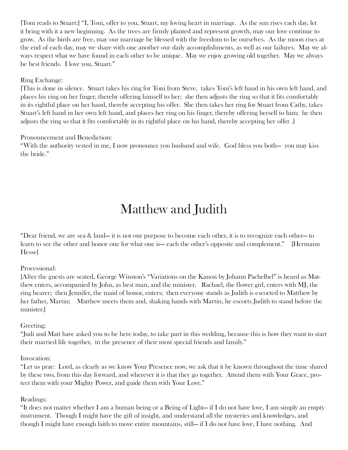[Toni reads to Stuart:] "I, Toni, offer to you, Stuart, my loving heart in marriage. As the sun rises each day, let it bring with it a new beginning. As the trees are firmly planted and represent growth, may our love continue to grow. As the birds are free, may our marriage be blessed with the freedom to be ourselves. As the moon rises at the end of each day, may we share with one another our daily accomplishments, as well as our failures. May we always respect what we have found in each other to be unique. May we enjoy growing old together. May we always be best friends. I love you, Stuart."

#### Ring Exchange:

[This is done in silence. Stuart takes his ring for Toni from Steve, takes Toni's left hand in his own left hand, and places his ring on her finger, thereby offering himself to her; she then adjusts the ring so that it fits comfortably in its rightful place on her hand, thereby accepting his offer. She then takes her ring for Stuart from Cathy, takes Stuart's left hand in her own left hand, and places her ring on his finger, thereby offering herself to him; he then adjusts the ring so that it fits comfortably in its rightful place on his hand, thereby accepting her offer .]

#### Pronouncement and Benediction:

"With the authority vested in me, I now pronounce you husband and wife. God bless you both— you may kiss the bride."

# Matthew and Judith

"Dear friend, we are sea & land— it is not our purpose to become each other, it is to recognize each other— to learn to see the other and honor one for what one is— each the other's opposite and complement." [Hermann Hesse]

## Processional:

[After the guests are seated, George Winston's "Variations on the Kanon by Johann Pachelbel" is heard as Matthew enters, accompanied by John, as best man, and the minister. Rachael, the flower girl, enters with MJ, the ring bearer; then Jennifer, the maid of honor, enters; then everyone stands as Judith is escorted to Matthew by her father, Martin; Matthew meets them and, shaking hands with Martin, he escorts Judith to stand before the minister.]

#### Greeting:

"Judi and Matt have asked you to be here today, to take part in this wedding, because this is how they want to start their married life together, in the presence of their most special friends and family."

#### Invocation:

"Let us pray: Lord, as clearly as we know Your Presence now, we ask that it be known throughout the time shared by these two, from this day forward, and wherever it is that they go together. Attend them with Your Grace, protect them with your Mighty Power, and guide them with Your Love."

#### Readings:

"It does not matter whether I am a human being or a Being of Light— if I do not have love, I am simply an empty instrument. Though I might have the gift of insight, and understand all the mysteries and knowledges, and though I might have enough faith to move entire mountains, still— if I do not have love, I have nothing. And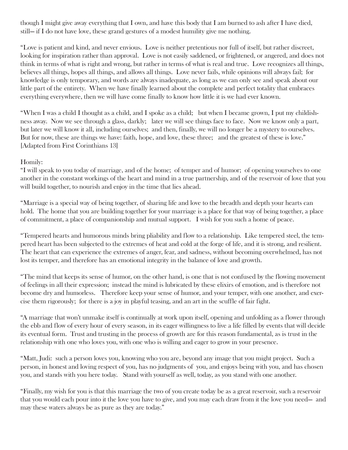though I might give away everything that I own, and have this body that I am burned to ash after I have died, still— if I do not have love, these grand gestures of a modest humility give me nothing.

"Love is patient and kind, and never envious. Love is neither pretentious nor full of itself, but rather discreet, looking for inspiration rather than approval. Love is not easily saddened, or frightened, or angered, and does not think in terms of what is right and wrong, but rather in terms of what is real and true. Love recognizes all things, believes all things, hopes all things, and allows all things. Love never fails, while opinions will always fail; for knowledge is only temporary, and words are always inadequate, as long as we can only see and speak about our little part of the entirety. When we have finally learned about the complete and perfect totality that embraces everything everywhere, then we will have come finally to know how little it is we had ever known.

"When I was a child I thought as a child, and I spoke as a child; but when I became grown, I put my childishness away. Now we see through a glass, darkly; later we will see things face to face. Now we know only a part, but later we will know it all, including ourselves; and then, finally, we will no longer be a mystery to ourselves. But for now, these are things we have: faith, hope, and love, these three; and the greatest of these is love." [Adapted from First Corinthians 13]

#### Homily:

"I will speak to you today of marriage, and of the home; of temper and of humor; of opening yourselves to one another in the constant workings of the heart and mind in a true partnership, and of the reservoir of love that you will build together, to nourish and enjoy in the time that lies ahead.

"Marriage is a special way of being together, of sharing life and love to the breadth and depth your hearts can hold. The home that you are building together for your marriage is a place for that way of being together, a place of commitment, a place of companionship and mutual support. I wish for you such a home of peace.

"Tempered hearts and humorous minds bring pliability and flow to a relationship. Like tempered steel, the tempered heart has been subjected to the extremes of heat and cold at the forge of life, and it is strong, and resilient. The heart that can experience the extremes of anger, fear, and sadness, without becoming overwhelmed, has not lost its temper, and therefore has an emotional integrity in the balance of love and growth.

"The mind that keeps its sense of humor, on the other hand, is one that is not confused by the flowing movement of feelings in all their expression; instead the mind is lubricated by these elixirs of emotion, and is therefore not become dry and humorless. Therefore keep your sense of humor, and your temper, with one another, and exercise them rigorously; for there is a joy in playful teasing, and an art in the scuffle of fair fight.

"A marriage that won't unmake itself is continually at work upon itself, opening and unfolding as a flower through the ebb and flow of every hour of every season, in its eager willingness to live a life filled by events that will decide its eventual form. Trust and trusting in the process of growth are for this reason fundamental, as is trust in the relationship with one who loves you, with one who is willing and eager to grow in your presence.

"Matt, Judi: such a person loves you, knowing who you are, beyond any image that you might project. Such a person, in honest and loving respect of you, has no judgments of you, and enjoys being with you, and has chosen you, and stands with you here today. Stand with yourself as well, today, as you stand with one another.

"Finally, my wish for you is that this marriage the two of you create today be as a great reservoir, such a reservoir that you would each pour into it the love you have to give, and you may each draw from it the love you need— and may these waters always be as pure as they are today."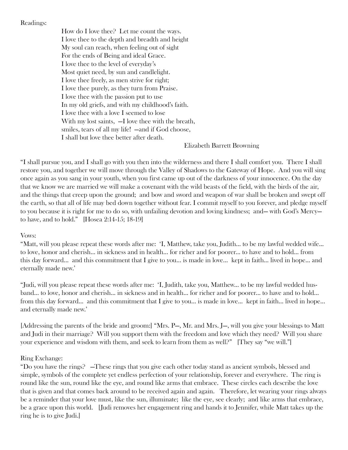#### Readings:

 How do I love thee? Let me count the ways. I love thee to the depth and breadth and height My soul can reach, when feeling out of sight For the ends of Being and ideal Grace. I love thee to the level of everyday's Most quiet need, by sun and candlelight. I love thee freely, as men strive for right; I love thee purely, as they turn from Praise. I love thee with the passion put to use In my old griefs, and with my childhood's faith. I love thee with a love I seemed to lose With my lost saints,  $-I$  love thee with the breath, smiles, tears of all my life! —and if God choose, I shall but love thee better after death.

Elizabeth Barrett Browning

"I shall pursue you, and I shall go with you then into the wilderness and there I shall comfort you. There I shall restore you, and together we will move through the Valley of Shadows to the Gateway of Hope. And you will sing once again as you sang in your youth, when you first came up out of the darkness of your innocence. On the day that we know we are married we will make a covenant with the wild beasts of the field, with the birds of the air, and the things that creep upon the ground; and bow and sword and weapon of war shall be broken and swept off the earth, so that all of life may bed down together without fear. I commit myself to you forever, and pledge myself to you because it is right for me to do so, with unfailing devotion and loving kindness; and— with God's Mercy to have, and to hold." [Hosea 2:14-15; 18-19]

#### Vows:

"Matt, will you please repeat these words after me: 'I, Matthew, take you, Judith... to be my lawful wedded wife... to love, honor and cherish... in sickness and in health... for richer and for poorer... to have and to hold... from this day forward... and this commitment that I give to you... is made in love... kept in faith... lived in hope... and eternally made new.'

"Judi, will you please repeat these words after me: 'I, Judith, take you, Matthew... to be my lawful wedded husband... to love, honor and cherish... in sickness and in health... for richer and for poorer... to have and to hold... from this day forward... and this commitment that I give to you... is made in love... kept in faith... lived in hope... and eternally made new.'

[Addressing the parents of the bride and groom:] "Mrs. P—, Mr. and Mrs. J—, will you give your blessings to Matt and Judi in their marriage? Will you support them with the freedom and love which they need? Will you share your experience and wisdom with them, and seek to learn from them as well?" [They say "we will."]

#### Ring Exchange:

"Do you have the rings? —These rings that you give each other today stand as ancient symbols, blessed and simple, symbols of the complete yet endless perfection of your relationship, forever and everywhere. The ring is round like the sun, round like the eye, and round like arms that embrace. These circles each describe the love that is given and that comes back around to be received again and again. Therefore, let wearing your rings always be a reminder that your love must, like the sun, illuminate; like the eye, see clearly; and like arms that embrace, be a grace upon this world. [Judi removes her engagement ring and hands it to Jennifer, while Matt takes up the ring he is to give Judi.]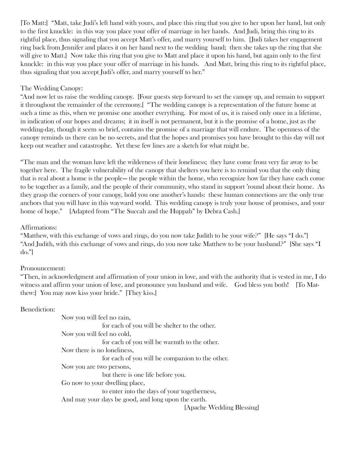[To Matt:] "Matt, take Judi's left hand with yours, and place this ring that you give to her upon her hand, but only to the first knuckle: in this way you place your offer of marriage in her hands. And Judi, bring this ring to its rightful place, thus signaling that you accept Matt's offer, and marry yourself to him. [Judi takes her engagement ring back from Jennifer and places it on her hand next to the wedding band; then she takes up the ring that she will give to Matt.] Now take this ring that you give to Matt and place it upon his hand, but again only to the first knuckle: in this way you place your offer of marriage in his hands. And Matt, bring this ring to its rightful place, thus signaling that you accept Judi's offer, and marry yourself to her."

#### The Wedding Canopy:

"And now let us raise the wedding canopy. [Four guests step forward to set the canopy up, and remain to support it throughout the remainder of the ceremony.] "The wedding canopy is a representation of the future home at such a time as this, when we promise one another everything. For most of us, it is raised only once in a lifetime, in indication of our hopes and dreams; it in itself is not permanent, but it is the promise of a home, just as the wedding-day, though it seem so brief, contains the promise of a marriage that will endure. The openness of the canopy reminds us there can be no secrets, and that the hopes and promises you have brought to this day will not keep out weather and catastrophe. Yet these few lines are a sketch for what might be.

"The man and the woman have left the wilderness of their loneliness; they have come from very far away to be together here. The fragile vulnerability of the canopy that shelters you here is to remind you that the only thing that is real about a home is the people— the people within the home, who recognize how far they have each come to be together as a family, and the people of their community, who stand in support 'round about their home. As they grasp the corners of your canopy, hold you one another's hands: these human connections are the only true anchors that you will have in this wayward world. This wedding canopy is truly your house of promises, and your home of hope." [Adapted from "The Succah and the Huppah" by Debra Cash.]

### Affirmations:

"Matthew, with this exchange of vows and rings, do you now take Judith to be your wife?" [He says "I do."] "And Judith, with this exchange of vows and rings, do you now take Matthew to be your husband?" [She says "I do."]

## Pronouncement:

"Then, in acknowledgment and affirmation of your union in love, and with the authority that is vested in me, I do witness and affirm your union of love, and pronounce you husband and wife. God bless you both! [To Matthew:] You may now kiss your bride." [They kiss.]

## Benediction:

 Now you will feel no rain, for each of you will be shelter to the other. Now you will feel no cold, for each of you will be warmth to the other. Now there is no loneliness, for each of you will be companion to the other. Now you are two persons, but there is one life before you. Go now to your dwelling place, to enter into the days of your togetherness, And may your days be good, and long upon the earth. [Apache Wedding Blessing]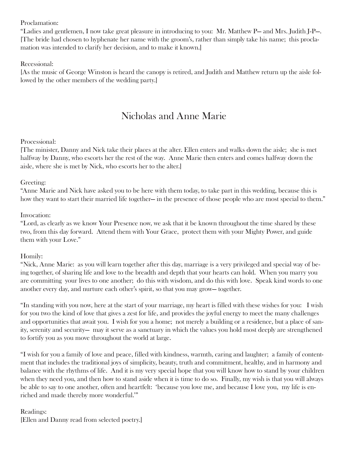#### Proclamation:

"Ladies and gentlemen, I now take great pleasure in introducing to you: Mr. Matthew P— and Mrs. Judith J-P—. [The bride had chosen to hyphenate her name with the groom's, rather than simply take his name; this proclamation was intended to clarify her decision, and to make it known.]

#### Recessional:

[As the music of George Winston is heard the canopy is retired, and Judith and Matthew return up the aisle followed by the other members of the wedding party.]

## Nicholas and Anne Marie

#### Processional:

[The minister, Danny and Nick take their places at the alter. Ellen enters and walks down the aisle; she is met halfway by Danny, who escorts her the rest of the way. Anne Marie then enters and comes halfway down the aisle, where she is met by Nick, who escorts her to the alter.]

#### Greeting:

"Anne Marie and Nick have asked you to be here with them today, to take part in this wedding, because this is how they want to start their married life together— in the presence of those people who are most special to them."

#### Invocation:

"Lord, as clearly as we know Your Presence now, we ask that it be known throughout the time shared by these two, from this day forward. Attend them with Your Grace, protect them with your Mighty Power, and guide them with your Love."

## Homily:

"Nick, Anne Marie: as you will learn together after this day, marriage is a very privileged and special way of being together, of sharing life and love to the breadth and depth that your hearts can hold. When you marry you are committing your lives to one another; do this with wisdom, and do this with love. Speak kind words to one another every day, and nurture each other's spirit, so that you may grow— together.

"In standing with you now, here at the start of your marriage, my heart is filled with these wishes for you: I wish for you two the kind of love that gives a zest for life, and provides the joyful energy to meet the many challenges and opportunities that await you. I wish for you a home; not merely a building or a residence, but a place of sanity, serenity and security— may it serve as a sanctuary in which the values you hold most deeply are strengthened to fortify you as you move throughout the world at large.

"I wish for you a family of love and peace, filled with kindness, warmth, caring and laughter; a family of contentment that includes the traditional joys of simplicity, beauty, truth and commitment, healthy, and in harmony and balance with the rhythms of life. And it is my very special hope that you will know how to stand by your children when they need you, and then how to stand aside when it is time to do so. Finally, my wish is that you will always be able to say to one another, often and heartfelt: 'because you love me, and because I love you, my life is enriched and made thereby more wonderful.'"

## Readings: [Ellen and Danny read from selected poetry.]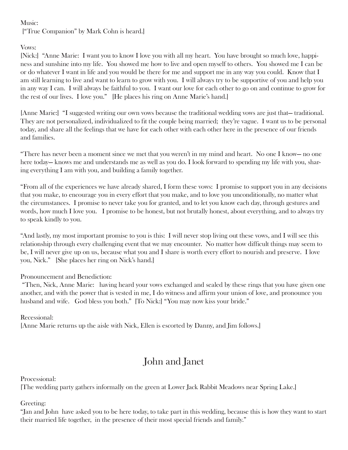Music:

["True Companion" by Mark Cohn is heard.]

Vows:

[Nick:] "Anne Marie: I want you to know I love you with all my heart. You have brought so much love, happiness and sunshine into my life. You showed me how to live and open myself to others. You showed me I can be or do whatever I want in life and you would be there for me and support me in any way you could. Know that I am still learning to live and want to learn to grow with you. I will always try to be supportive of you and help you in any way I can. I will always be faithful to you. I want our love for each other to go on and continue to grow for the rest of our lives. I love you." [He places his ring on Anne Marie's hand.]

[Anne Marie:] "I suggested writing our own vows because the traditional wedding vows are just that— traditional. They are not personalized, individualized to fit the couple being married; they're vague. I want us to be personal today, and share all the feelings that we have for each other with each other here in the presence of our friends and families.

"There has never been a moment since we met that you weren't in my mind and heart. No one I know— no one here today— knows me and understands me as well as you do. I look forward to spending my life with you, sharing everything I am with you, and building a family together.

"From all of the experiences we have already shared, I form these vows: I promise to support you in any decisions that you make, to encourage you in every effort that you make, and to love you unconditionally, no matter what the circumstances. I promise to never take you for granted, and to let you know each day, through gestures and words, how much I love you. I promise to be honest, but not brutally honest, about everything, and to always try to speak kindly to you.

"And lastly, my most important promise to you is this: I will never stop living out these vows, and I will see this relationship through every challenging event that we may encounter. No matter how difficult things may seem to be, I will never give up on us, because what you and I share is worth every effort to nourish and preserve. I love you, Nick." [She places her ring on Nick's hand.]

Pronouncement and Benediction:

 "Then, Nick, Anne Marie: having heard your vows exchanged and sealed by these rings that you have given one another, and with the power that is vested in me, I do witness and affirm your union of love, and pronounce you husband and wife. God bless you both." [To Nick:] "You may now kiss your bride."

Recessional: [Anne Marie returns up the aisle with Nick, Ellen is escorted by Danny, and Jim follows.]

# John and Janet

Processional:

[The wedding party gathers informally on the green at Lower Jack Rabbit Meadows near Spring Lake.]

Greeting:

"Jan and John have asked you to be here today, to take part in this wedding, because this is how they want to start their married life together, in the presence of their most special friends and family."